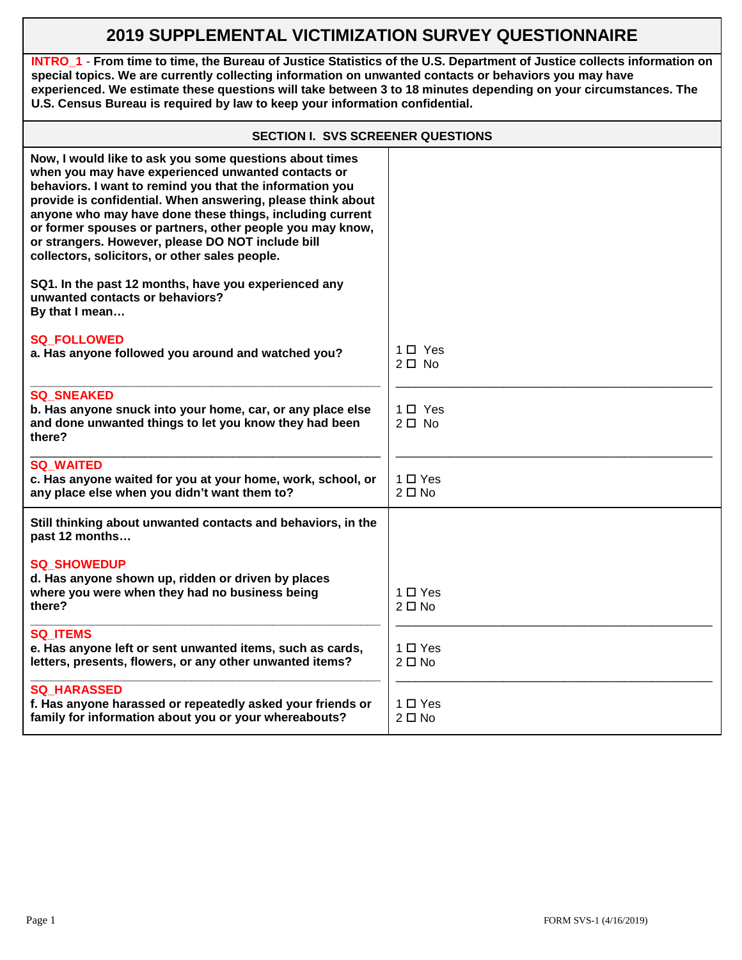## **2019 SUPPLEMENTAL VICTIMIZATION SURVEY QUESTIONNAIRE**

**INTRO\_1** - **From time to time, the Bureau of Justice Statistics of the U.S. Department of Justice collects information on special topics. We are currently collecting information on unwanted contacts or behaviors you may have experienced. We estimate these questions will take between 3 to 18 minutes depending on your circumstances. The U.S. Census Bureau is required by law to keep your information confidential.**

| <b>SECTION I. SVS SCREENER QUESTIONS</b>                                                                                                                                                                                                                                                                                                                                                                                                                                 |                               |  |
|--------------------------------------------------------------------------------------------------------------------------------------------------------------------------------------------------------------------------------------------------------------------------------------------------------------------------------------------------------------------------------------------------------------------------------------------------------------------------|-------------------------------|--|
| Now, I would like to ask you some questions about times<br>when you may have experienced unwanted contacts or<br>behaviors. I want to remind you that the information you<br>provide is confidential. When answering, please think about<br>anyone who may have done these things, including current<br>or former spouses or partners, other people you may know,<br>or strangers. However, please DO NOT include bill<br>collectors, solicitors, or other sales people. |                               |  |
| SQ1. In the past 12 months, have you experienced any<br>unwanted contacts or behaviors?<br>By that I mean                                                                                                                                                                                                                                                                                                                                                                |                               |  |
| <b>SQ FOLLOWED</b><br>a. Has anyone followed you around and watched you?                                                                                                                                                                                                                                                                                                                                                                                                 | $1 \Box$ Yes<br>$2\square$ No |  |
| <b>SQ SNEAKED</b><br>b. Has anyone snuck into your home, car, or any place else<br>and done unwanted things to let you know they had been<br>there?                                                                                                                                                                                                                                                                                                                      | 1 □ Yes<br>$2 \Box$ No        |  |
| <b>SQ WAITED</b><br>c. Has anyone waited for you at your home, work, school, or<br>any place else when you didn't want them to?                                                                                                                                                                                                                                                                                                                                          | $1 \Box Y$ es<br>$2 \Box$ No  |  |
| Still thinking about unwanted contacts and behaviors, in the<br>past 12 months                                                                                                                                                                                                                                                                                                                                                                                           |                               |  |
| <b>SQ SHOWEDUP</b><br>d. Has anyone shown up, ridden or driven by places<br>where you were when they had no business being<br>there?                                                                                                                                                                                                                                                                                                                                     | $1 \Box Y$ es<br>$2 \Box$ No  |  |
| <b>SQ ITEMS</b><br>e. Has anyone left or sent unwanted items, such as cards,<br>letters, presents, flowers, or any other unwanted items?                                                                                                                                                                                                                                                                                                                                 | $1 \Box Y$ es<br>$2 \Box$ No  |  |
| <b>SQ HARASSED</b><br>f. Has anyone harassed or repeatedly asked your friends or<br>family for information about you or your whereabouts?                                                                                                                                                                                                                                                                                                                                | $1 \Box Y$ es<br>$2 \Box$ No  |  |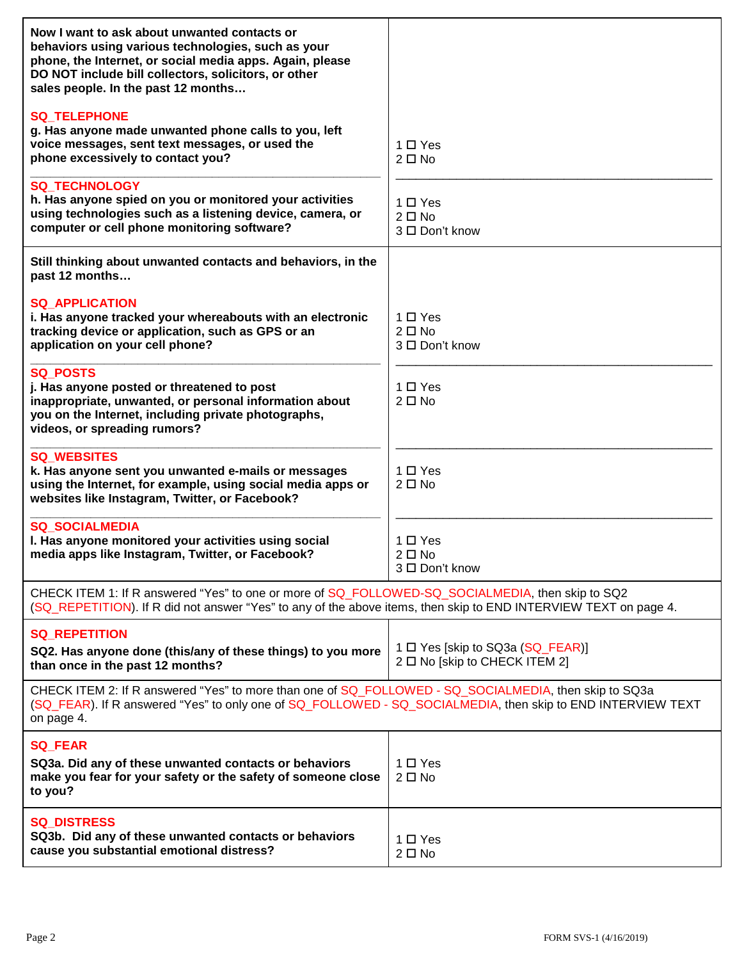| Now I want to ask about unwanted contacts or<br>behaviors using various technologies, such as your<br>phone, the Internet, or social media apps. Again, please<br>DO NOT include bill collectors, solicitors, or other<br>sales people. In the past 12 months |                                                                   |  |
|---------------------------------------------------------------------------------------------------------------------------------------------------------------------------------------------------------------------------------------------------------------|-------------------------------------------------------------------|--|
| <b>SQ_TELEPHONE</b><br>g. Has anyone made unwanted phone calls to you, left<br>voice messages, sent text messages, or used the<br>phone excessively to contact you?                                                                                           | $1 \Box Y$ es<br>$2 \Box$ No                                      |  |
| <b>SQ_TECHNOLOGY</b><br>h. Has anyone spied on you or monitored your activities<br>using technologies such as a listening device, camera, or<br>computer or cell phone monitoring software?                                                                   | $1 \Box Y$ es<br>$2 \Box$ No<br>3 □ Don't know                    |  |
| Still thinking about unwanted contacts and behaviors, in the<br>past 12 months                                                                                                                                                                                |                                                                   |  |
| <b>SQ APPLICATION</b><br>i. Has anyone tracked your whereabouts with an electronic<br>tracking device or application, such as GPS or an<br>application on your cell phone?                                                                                    | $1 \Box Y$ es<br>$2 \Box$ No<br>3 □ Don't know                    |  |
| <b>SQ_POSTS</b><br>j. Has anyone posted or threatened to post<br>inappropriate, unwanted, or personal information about<br>you on the Internet, including private photographs,<br>videos, or spreading rumors?                                                | $1 \Box Y$ es<br>$2 \Box$ No                                      |  |
| <b>SQ_WEBSITES</b><br>k. Has anyone sent you unwanted e-mails or messages<br>using the Internet, for example, using social media apps or<br>websites like Instagram, Twitter, or Facebook?                                                                    | $1 \Box Y$ es<br>$2 \Box$ No                                      |  |
| <b>SQ SOCIALMEDIA</b><br>I. Has anyone monitored your activities using social<br>media apps like Instagram, Twitter, or Facebook?                                                                                                                             | $1 \Box Y$ es<br>$2 \Box$ No<br>3 □ Don't know                    |  |
| CHECK ITEM 1: If R answered "Yes" to one or more of SQ_FOLLOWED-SQ_SOCIALMEDIA, then skip to SQ2<br>(SQ REPETITION). If R did not answer "Yes" to any of the above items, then skip to END INTERVIEW TEXT on page 4.                                          |                                                                   |  |
| <b>SQ_REPETITION</b><br>SQ2. Has anyone done (this/any of these things) to you more<br>than once in the past 12 months?                                                                                                                                       | 1 □ Yes [skip to SQ3a (SQ_FEAR)]<br>2 □ No [skip to CHECK ITEM 2] |  |
| CHECK ITEM 2: If R answered "Yes" to more than one of SQ_FOLLOWED - SQ_SOCIALMEDIA, then skip to SQ3a<br>(SQ FEAR). If R answered "Yes" to only one of SQ FOLLOWED - SQ SOCIALMEDIA, then skip to END INTERVIEW TEXT<br>on page 4.                            |                                                                   |  |
| <b>SQ_FEAR</b><br>SQ3a. Did any of these unwanted contacts or behaviors<br>make you fear for your safety or the safety of someone close<br>to you?                                                                                                            | 1 □ Yes<br>$2 \Box$ No                                            |  |
| <b>SQ_DISTRESS</b><br>SQ3b. Did any of these unwanted contacts or behaviors<br>cause you substantial emotional distress?                                                                                                                                      | $1 \Box Y$ es<br>$2 \Box$ No                                      |  |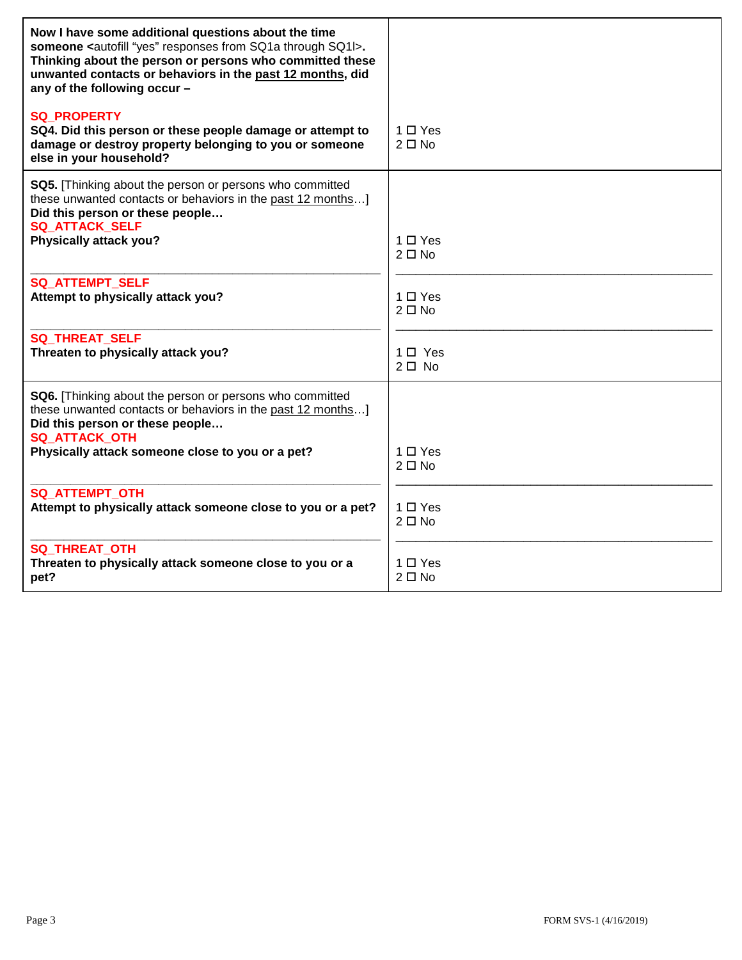| Now I have some additional questions about the time<br>someone <autofill "yes"="" from="" responses="" sq1a="" sq1i="" through="">.<br/>Thinking about the person or persons who committed these<br/>unwanted contacts or behaviors in the past 12 months, did<br/>any of the following occur -</autofill> |                              |
|------------------------------------------------------------------------------------------------------------------------------------------------------------------------------------------------------------------------------------------------------------------------------------------------------------|------------------------------|
| <b>SQ PROPERTY</b><br>SQ4. Did this person or these people damage or attempt to<br>damage or destroy property belonging to you or someone<br>else in your household?                                                                                                                                       | $1 \Box Y$ es<br>$2 \Box$ No |
| SQ5. [Thinking about the person or persons who committed<br>these unwanted contacts or behaviors in the past 12 months]<br>Did this person or these people<br><b>SQ_ATTACK_SELF</b><br>Physically attack you?                                                                                              | $1 \Box Y$ es<br>$2 \Box$ No |
| SQ_ATTEMPT_SELF<br>Attempt to physically attack you?                                                                                                                                                                                                                                                       | $1 \Box Y$ es<br>$2 \Box$ No |
| <b>SQ THREAT SELF</b><br>Threaten to physically attack you?                                                                                                                                                                                                                                                | $1 \Box$ Yes<br>$2 \Box$ No  |
| <b>SQ6.</b> [Thinking about the person or persons who committed<br>these unwanted contacts or behaviors in the past 12 months]<br>Did this person or these people<br><b>SQ_ATTACK_OTH</b><br>Physically attack someone close to you or a pet?                                                              | $1 \Box Y$ es<br>$2 \Box$ No |
| <b>SQ_ATTEMPT_OTH</b><br>Attempt to physically attack someone close to you or a pet?                                                                                                                                                                                                                       | 1 □ Yes<br>$2 \Box$ No       |
| <b>SQ THREAT OTH</b><br>Threaten to physically attack someone close to you or a<br>pet?                                                                                                                                                                                                                    | $1 \Box Y$ es<br>$2 \Box$ No |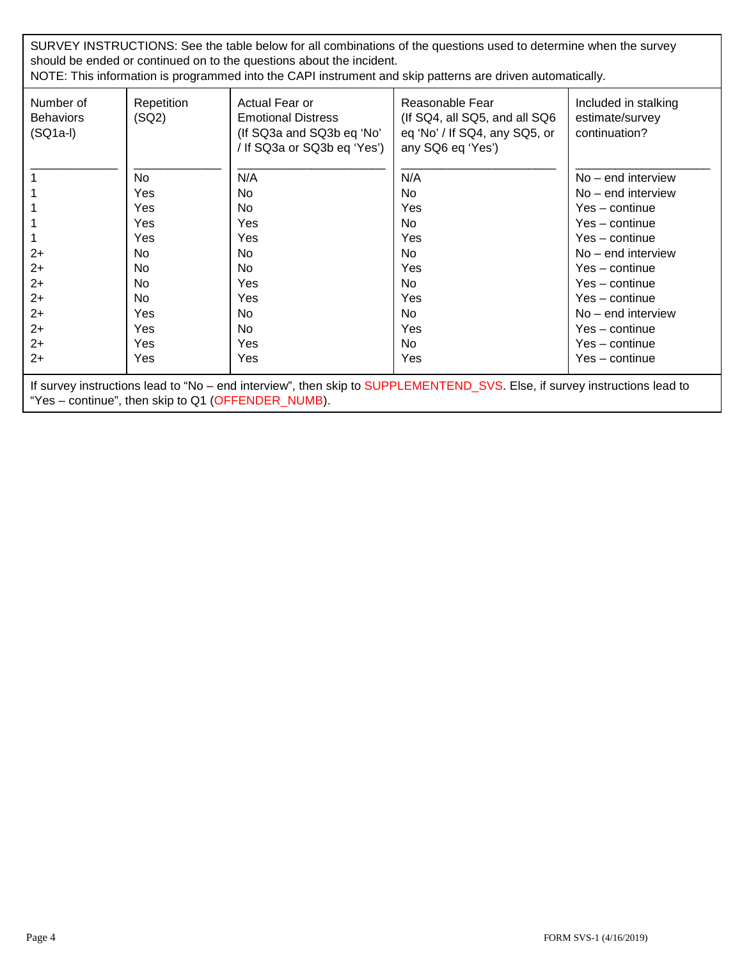SURVEY INSTRUCTIONS: See the table below for all combinations of the questions used to determine when the survey should be ended or continued on to the questions about the incident.

NOTE: This information is programmed into the CAPI instrument and skip patterns are driven automatically.

| Number of<br><b>Behaviors</b><br>$(SQ1a-I)$                                                                               | Repetition<br>(SQ2) | Actual Fear or<br><b>Emotional Distress</b><br>(If SQ3a and SQ3b eq 'No'<br>/ If SQ3a or SQ3b eq 'Yes') | Reasonable Fear<br>(If SQ4, all SQ5, and all SQ6)<br>eq 'No' / If SQ4, any SQ5, or<br>any SQ6 eq 'Yes') | Included in stalking<br>estimate/survey<br>continuation? |
|---------------------------------------------------------------------------------------------------------------------------|---------------------|---------------------------------------------------------------------------------------------------------|---------------------------------------------------------------------------------------------------------|----------------------------------------------------------|
|                                                                                                                           | No.                 | N/A                                                                                                     | N/A                                                                                                     | $No - end$ interview                                     |
|                                                                                                                           | Yes                 | No.                                                                                                     | No.                                                                                                     | $No - end$ interview                                     |
|                                                                                                                           | Yes                 | No.                                                                                                     | Yes                                                                                                     | $Yes - continue$                                         |
|                                                                                                                           | <b>Yes</b>          | Yes                                                                                                     | No.                                                                                                     | $Yes - continue$                                         |
|                                                                                                                           | Yes                 | Yes                                                                                                     | Yes                                                                                                     | $Yes - continue$                                         |
| $2+$                                                                                                                      | No                  | <b>No</b>                                                                                               | No.                                                                                                     | $No - end$ interview                                     |
| $2+$                                                                                                                      | No.                 | No.                                                                                                     | Yes                                                                                                     | $Yes - continue$                                         |
| $2+$                                                                                                                      | No.                 | Yes                                                                                                     | No.                                                                                                     | $Yes - continue$                                         |
| $2+$                                                                                                                      | No.                 | Yes                                                                                                     | Yes                                                                                                     | $Yes - continue$                                         |
| $2+$                                                                                                                      | Yes                 | No.                                                                                                     | No.                                                                                                     | $No - end$ interview                                     |
| $2+$                                                                                                                      | <b>Yes</b>          | No.                                                                                                     | Yes                                                                                                     | $Yes - continue$                                         |
| $2+$                                                                                                                      | Yes                 | Yes                                                                                                     | No.                                                                                                     | Yes - continue                                           |
| $2+$                                                                                                                      | Yes                 | Yes                                                                                                     | Yes                                                                                                     | Yes - continue                                           |
| If survey instructions lead to "No – end interview", then skip to SUPPLEMENTEND_SVS. Else, if survey instructions lead to |                     |                                                                                                         |                                                                                                         |                                                          |

"Yes – continue", then skip to Q1 (OFFENDER\_NUMB).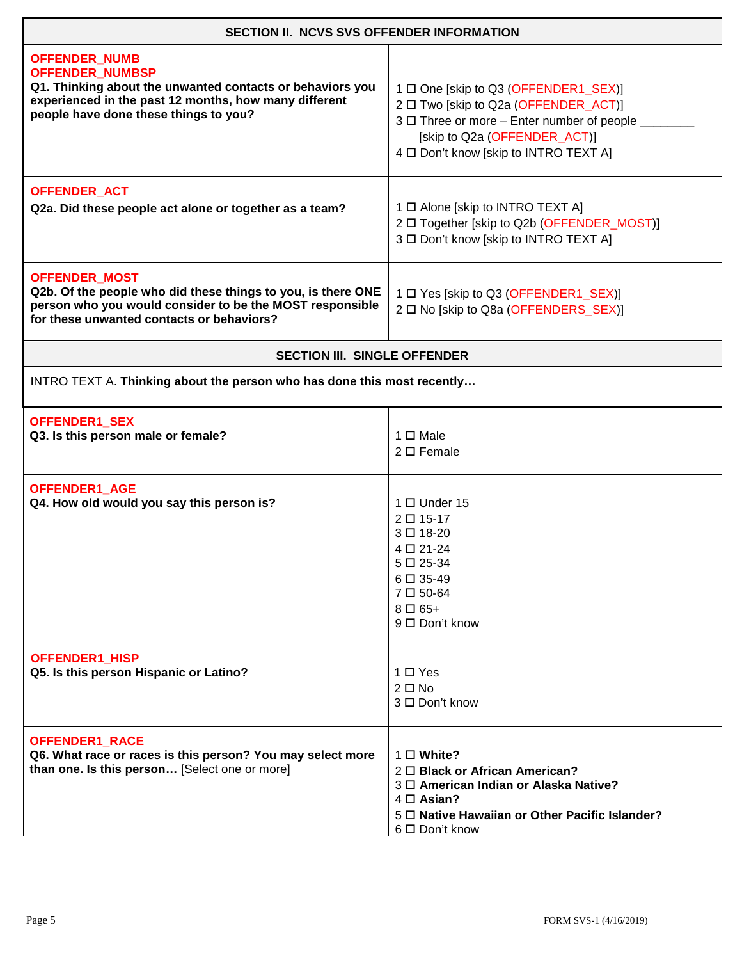| SECTION II. NCVS SVS OFFENDER INFORMATION                                                                                                                                                                     |                                                                                                                                                                                                       |  |
|---------------------------------------------------------------------------------------------------------------------------------------------------------------------------------------------------------------|-------------------------------------------------------------------------------------------------------------------------------------------------------------------------------------------------------|--|
| <b>OFFENDER_NUMB</b><br><b>OFFENDER_NUMBSP</b><br>Q1. Thinking about the unwanted contacts or behaviors you<br>experienced in the past 12 months, how many different<br>people have done these things to you? | 1 □ One [skip to Q3 (OFFENDER1_SEX)]<br>2 □ Two [skip to Q2a (OFFENDER_ACT)]<br>3 □ Three or more - Enter number of people _<br>[skip to Q2a (OFFENDER_ACT)]<br>4 D Don't know [skip to INTRO TEXT A] |  |
| <b>OFFENDER_ACT</b><br>Q2a. Did these people act alone or together as a team?                                                                                                                                 | 1 □ Alone [skip to INTRO TEXT A]<br>2 □ Together [skip to Q2b (OFFENDER_MOST)]<br>3 □ Don't know [skip to INTRO TEXT A]                                                                               |  |
| <b>OFFENDER_MOST</b><br>Q2b. Of the people who did these things to you, is there ONE<br>person who you would consider to be the MOST responsible<br>for these unwanted contacts or behaviors?                 | 1 □ Yes [skip to Q3 (OFFENDER1_SEX)]<br>2 □ No [skip to Q8a (OFFENDERS_SEX)]                                                                                                                          |  |
| <b>SECTION III. SINGLE OFFENDER</b>                                                                                                                                                                           |                                                                                                                                                                                                       |  |
| INTRO TEXT A. Thinking about the person who has done this most recently                                                                                                                                       |                                                                                                                                                                                                       |  |
| OFFENDER1_SEX<br>Q3. Is this person male or female?                                                                                                                                                           | 1 □ Male<br>$2 \Box$ Female                                                                                                                                                                           |  |
| <b>OFFENDER1 AGE</b><br>Q4. How old would you say this person is?                                                                                                                                             | 1 □ Under 15<br>2 □ 15-17<br>3□18-20<br>4 □ 21-24<br>$5 \Box 25 - 34$<br>6□ 35-49<br>7□50-64<br>$8 \Box 65+$<br>9 □ Don't know                                                                        |  |
| OFFENDER1_HISP<br>Q5. Is this person Hispanic or Latino?                                                                                                                                                      | 1 □ Yes<br>$2 \Box$ No<br>3 □ Don't know                                                                                                                                                              |  |
| OFFENDER1_RACE<br>Q6. What race or races is this person? You may select more<br>than one. Is this person [Select one or more]                                                                                 | 1 □ White?<br>2 O Black or African American?<br>3 <sup>O</sup> American Indian or Alaska Native?<br>4 □ Asian?<br>5 D Native Hawaiian or Other Pacific Islander?<br>6 □ Don't know                    |  |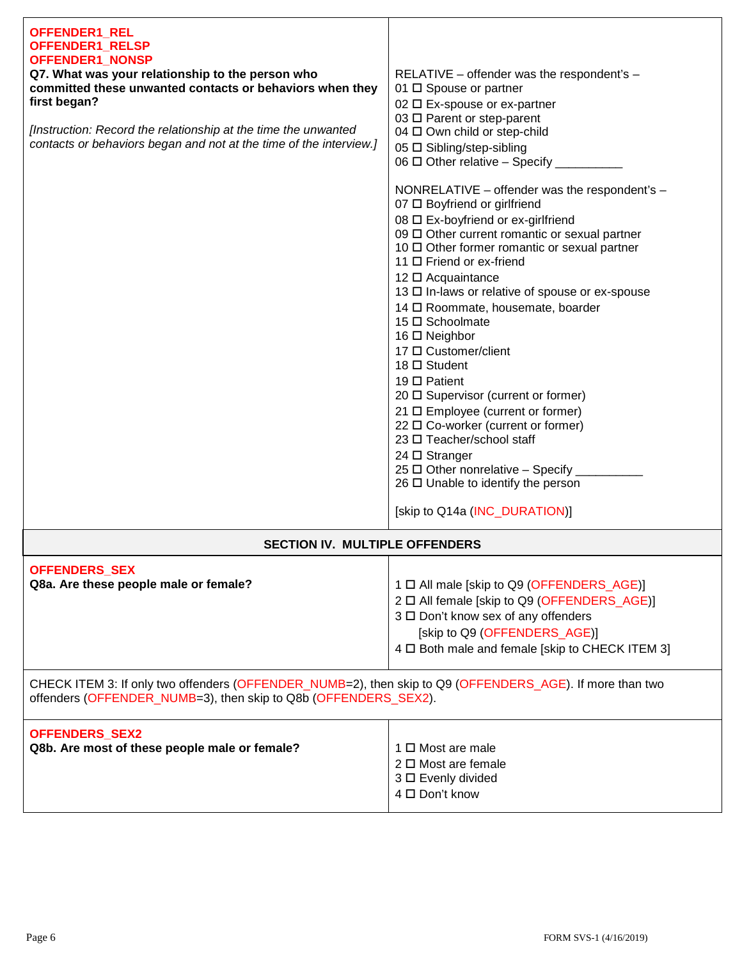| OFFENDER1_REL<br>OFFENDER1_RELSP<br><b>OFFENDER1 NONSP</b><br>Q7. What was your relationship to the person who<br>committed these unwanted contacts or behaviors when they<br>first began?<br>[Instruction: Record the relationship at the time the unwanted<br>contacts or behaviors began and not at the time of the interview.] | RELATIVE – offender was the respondent's –<br>01 □ Spouse or partner<br>02 □ Ex-spouse or ex-partner<br>03 □ Parent or step-parent<br>04 □ Own child or step-child<br>05 □ Sibling/step-sibling<br>06 $\Box$ Other relative - Specify _<br>NONRELATIVE - offender was the respondent's -<br>07 □ Boyfriend or girlfriend<br>08 □ Ex-boyfriend or ex-girlfriend<br>09 0 Other current romantic or sexual partner<br>10 □ Other former romantic or sexual partner<br>11 □ Friend or ex-friend<br>12 □ Acquaintance<br>13 □ In-laws or relative of spouse or ex-spouse<br>14 □ Roommate, housemate, boarder<br>15 □ Schoolmate<br>16 □ Neighbor<br>17 □ Customer/client<br>18 □ Student<br>19 $\Box$ Patient<br>20 □ Supervisor (current or former)<br>21 □ Employee (current or former)<br>22 □ Co-worker (current or former)<br>23 □ Teacher/school staff<br>$24 \square$ Stranger<br>25 □ Other nonrelative - Specify _<br>$26 \Box$ Unable to identify the person |  |
|------------------------------------------------------------------------------------------------------------------------------------------------------------------------------------------------------------------------------------------------------------------------------------------------------------------------------------|--------------------------------------------------------------------------------------------------------------------------------------------------------------------------------------------------------------------------------------------------------------------------------------------------------------------------------------------------------------------------------------------------------------------------------------------------------------------------------------------------------------------------------------------------------------------------------------------------------------------------------------------------------------------------------------------------------------------------------------------------------------------------------------------------------------------------------------------------------------------------------------------------------------------------------------------------------------------|--|
|                                                                                                                                                                                                                                                                                                                                    | [skip to Q14a (INC_DURATION)]                                                                                                                                                                                                                                                                                                                                                                                                                                                                                                                                                                                                                                                                                                                                                                                                                                                                                                                                      |  |
| <b>SECTION IV. MULTIPLE OFFENDERS</b>                                                                                                                                                                                                                                                                                              |                                                                                                                                                                                                                                                                                                                                                                                                                                                                                                                                                                                                                                                                                                                                                                                                                                                                                                                                                                    |  |
| <b>OFFENDERS_SEX</b><br>Q8a. Are these people male or female?                                                                                                                                                                                                                                                                      | 1 □ All male [skip to Q9 (OFFENDERS_AGE)]<br>2 □ All female [skip to Q9 (OFFENDERS_AGE)]<br>3 □ Don't know sex of any offenders<br>[skip to Q9 (OFFENDERS_AGE)]<br>4 D Both male and female [skip to CHECK ITEM 3]                                                                                                                                                                                                                                                                                                                                                                                                                                                                                                                                                                                                                                                                                                                                                 |  |
| CHECK ITEM 3: If only two offenders (OFFENDER_NUMB=2), then skip to Q9 (OFFENDERS_AGE). If more than two<br>offenders (OFFENDER_NUMB=3), then skip to Q8b (OFFENDERS_SEX2).                                                                                                                                                        |                                                                                                                                                                                                                                                                                                                                                                                                                                                                                                                                                                                                                                                                                                                                                                                                                                                                                                                                                                    |  |
| OFFENDERS_SEX2<br>Q8b. Are most of these people male or female?                                                                                                                                                                                                                                                                    | 1 □ Most are male<br>$2 \Box$ Most are female<br>3 □ Evenly divided<br>4 □ Don't know                                                                                                                                                                                                                                                                                                                                                                                                                                                                                                                                                                                                                                                                                                                                                                                                                                                                              |  |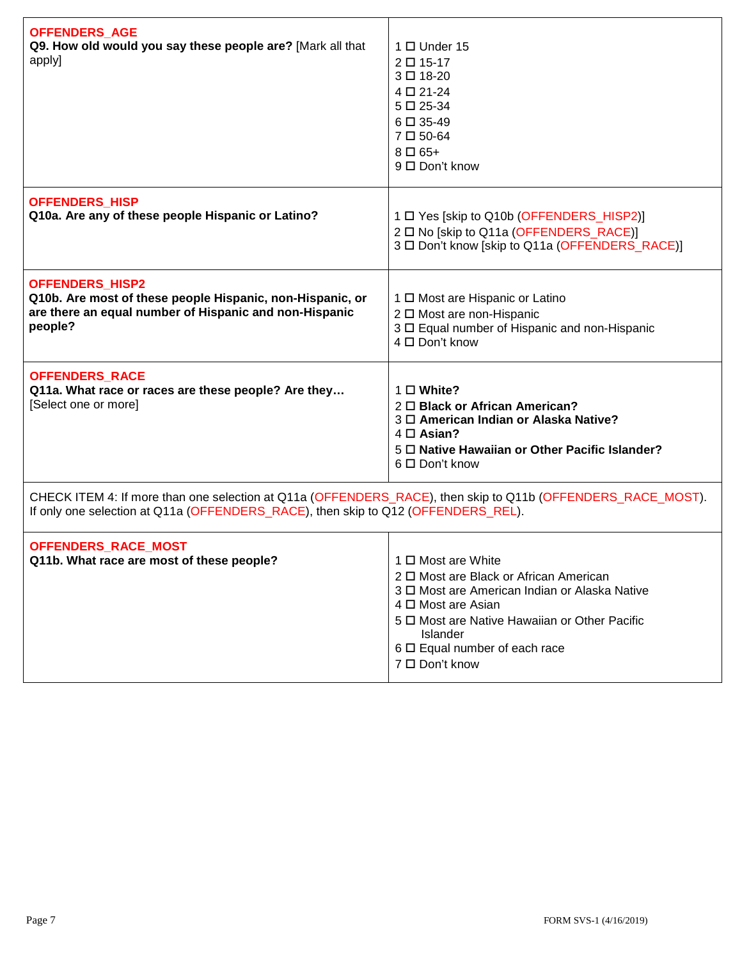| <b>OFFENDERS_AGE</b><br>Q9. How old would you say these people are? [Mark all that<br>apply]                                                                                                     | $1 \Box$ Under 15<br>2 □ 15-17<br>3□18-20<br>4 □ 21-24<br>$5 \Box 25 - 34$<br>6□ 35-49<br>7□50-64<br>$8 \Box 65+$<br>9 □ Don't know                                                                                                                           |  |
|--------------------------------------------------------------------------------------------------------------------------------------------------------------------------------------------------|---------------------------------------------------------------------------------------------------------------------------------------------------------------------------------------------------------------------------------------------------------------|--|
| <b>OFFENDERS_HISP</b><br>Q10a. Are any of these people Hispanic or Latino?                                                                                                                       | 1 □ Yes [skip to Q10b (OFFENDERS_HISP2)]<br>2 □ No [skip to Q11a (OFFENDERS_RACE)]<br>3 □ Don't know [skip to Q11a (OFFENDERS_RACE)]                                                                                                                          |  |
| <b>OFFENDERS_HISP2</b><br>Q10b. Are most of these people Hispanic, non-Hispanic, or<br>are there an equal number of Hispanic and non-Hispanic<br>people?                                         | 1 □ Most are Hispanic or Latino<br>2 □ Most are non-Hispanic<br>3 O Equal number of Hispanic and non-Hispanic<br>4 □ Don't know                                                                                                                               |  |
| <b>OFFENDERS_RACE</b><br>Q11a. What race or races are these people? Are they<br>[Select one or more]                                                                                             | $1 \square$ White?<br>2 O Black or African American?<br>3 <sup>O</sup> American Indian or Alaska Native?<br>4 □ Asian?<br>5 D Native Hawaiian or Other Pacific Islander?<br>6 □ Don't know                                                                    |  |
| CHECK ITEM 4: If more than one selection at Q11a (OFFENDERS_RACE), then skip to Q11b (OFFENDERS_RACE_MOST).<br>If only one selection at Q11a (OFFENDERS_RACE), then skip to Q12 (OFFENDERS_REL). |                                                                                                                                                                                                                                                               |  |
| OFFENDERS_RACE_MOST<br>Q11b. What race are most of these people?                                                                                                                                 | 1 □ Most are White<br>2 $\Box$ Most are Black or African American<br>3 0 Most are American Indian or Alaska Native<br>4 □ Most are Asian<br>5 $\Box$ Most are Native Hawaiian or Other Pacific<br>Islander<br>6 □ Equal number of each race<br>7 □ Don't know |  |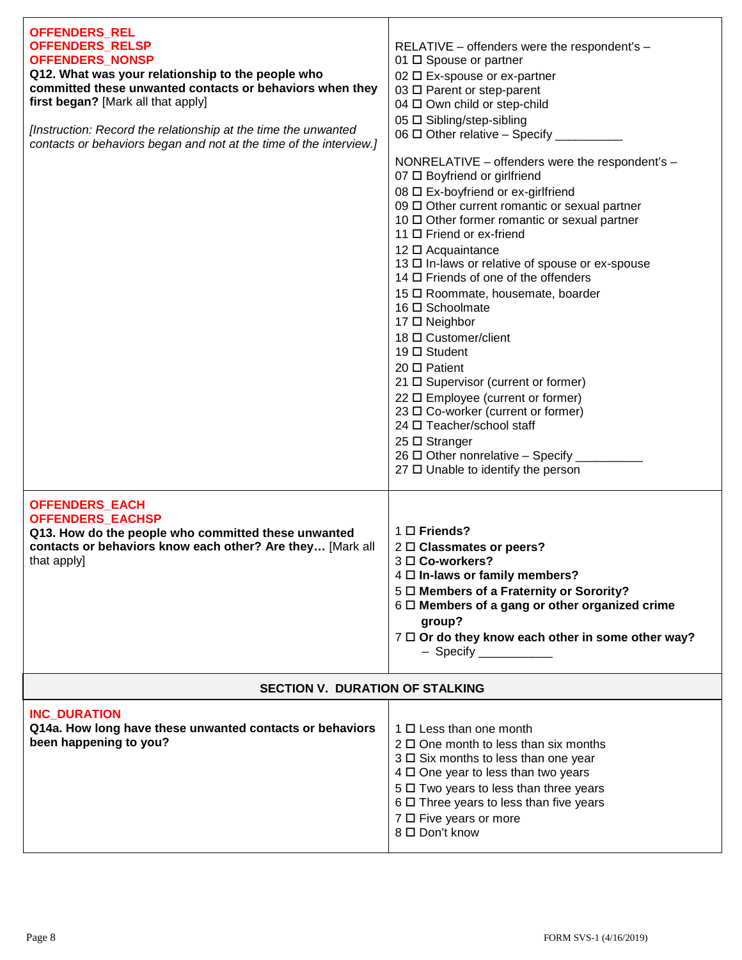| <b>OFFENDERS_REL</b><br>OFFENDERS_RELSP<br><b>OFFENDERS_NONSP</b><br>Q12. What was your relationship to the people who<br>committed these unwanted contacts or behaviors when they<br>first began? [Mark all that apply]<br>[Instruction: Record the relationship at the time the unwanted<br>contacts or behaviors began and not at the time of the interview.] | RELATIVE - offenders were the respondent's -<br>01 □ Spouse or partner<br>02 □ Ex-spouse or ex-partner<br>03 □ Parent or step-parent<br>04 □ Own child or step-child<br>05 □ Sibling/step-sibling<br>06 $\Box$ Other relative - Specify __<br>NONRELATIVE - offenders were the respondent's -<br>07 □ Boyfriend or girlfriend<br>08 □ Ex-boyfriend or ex-girlfriend<br>09 Other current romantic or sexual partner<br>10 □ Other former romantic or sexual partner<br>11 □ Friend or ex-friend<br>12 □ Acquaintance<br>13 □ In-laws or relative of spouse or ex-spouse<br>14 □ Friends of one of the offenders<br>15 □ Roommate, housemate, boarder<br>16 □ Schoolmate<br>17 □ Neighbor<br>18 □ Customer/client<br>19 □ Student<br>$20 \Box$ Patient<br>21 □ Supervisor (current or former)<br>22 □ Employee (current or former)<br>23 □ Co-worker (current or former)<br>24 □ Teacher/school staff<br>$25 \square$ Stranger<br>26 $\Box$ Other nonrelative - Specify _<br>27 □ Unable to identify the person |  |
|------------------------------------------------------------------------------------------------------------------------------------------------------------------------------------------------------------------------------------------------------------------------------------------------------------------------------------------------------------------|---------------------------------------------------------------------------------------------------------------------------------------------------------------------------------------------------------------------------------------------------------------------------------------------------------------------------------------------------------------------------------------------------------------------------------------------------------------------------------------------------------------------------------------------------------------------------------------------------------------------------------------------------------------------------------------------------------------------------------------------------------------------------------------------------------------------------------------------------------------------------------------------------------------------------------------------------------------------------------------------------------------|--|
| <b>OFFENDERS_EACH</b><br><b>OFFENDERS EACHSP</b><br>Q13. How do the people who committed these unwanted<br>contacts or behaviors know each other? Are they [Mark all<br>that apply]                                                                                                                                                                              | $1 \square$ Friends?<br>2 □ Classmates or peers?<br>$3 \Box$ Co-workers?<br>4 O In-laws or family members?<br>5 $\Box$ Members of a Fraternity or Sorority?<br>$6 \square$ Members of a gang or other organized crime<br>group?<br>7 0 Or do they know each other in some other way?<br>- Specify                                                                                                                                                                                                                                                                                                                                                                                                                                                                                                                                                                                                                                                                                                             |  |
| <b>SECTION V. DURATION OF STALKING</b>                                                                                                                                                                                                                                                                                                                           |                                                                                                                                                                                                                                                                                                                                                                                                                                                                                                                                                                                                                                                                                                                                                                                                                                                                                                                                                                                                               |  |
| <b>INC DURATION</b><br>Q14a. How long have these unwanted contacts or behaviors<br>been happening to you?                                                                                                                                                                                                                                                        | $1 \Box$ Less than one month<br>$2 \Box$ One month to less than six months<br>3 □ Six months to less than one year<br>4 0 One year to less than two years<br>5 $\Box$ Two years to less than three years<br>6 □ Three years to less than five years<br>7 □ Five years or more<br>8 □ Don't know                                                                                                                                                                                                                                                                                                                                                                                                                                                                                                                                                                                                                                                                                                               |  |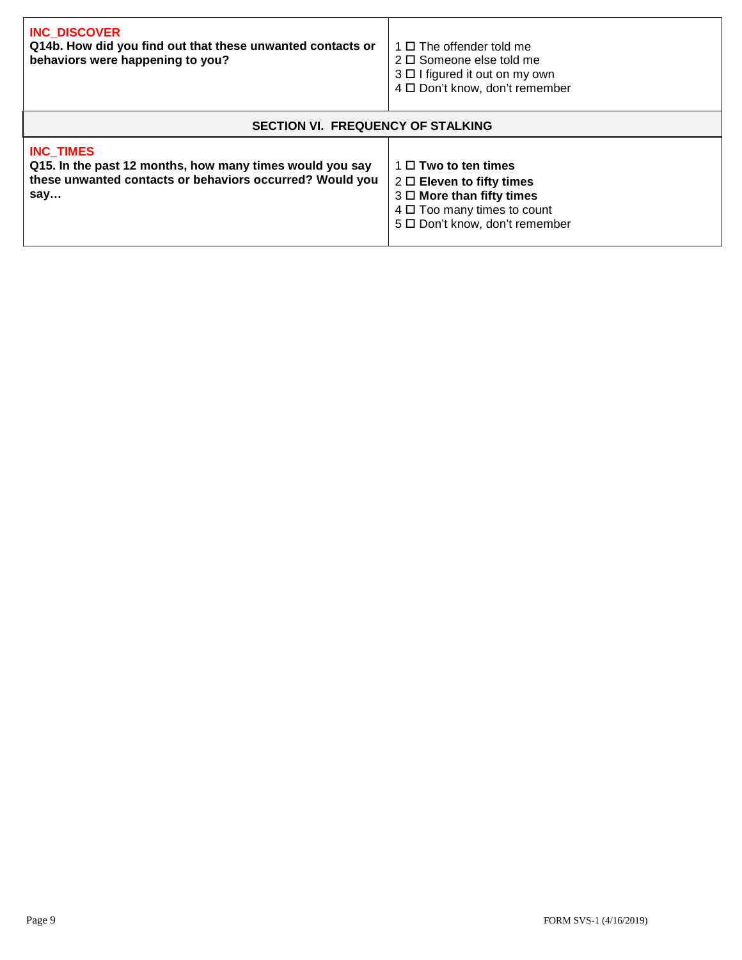| <b>INC DISCOVER</b><br>Q14b. How did you find out that these unwanted contacts or<br>behaviors were happening to you?                           | $1 \Box$ The offender told me<br>$2 \Box$ Someone else told me<br>$3 \Box$ I figured it out on my own<br>4 □ Don't know, don't remember                             |  |
|-------------------------------------------------------------------------------------------------------------------------------------------------|---------------------------------------------------------------------------------------------------------------------------------------------------------------------|--|
| <b>SECTION VI. FREQUENCY OF STALKING</b>                                                                                                        |                                                                                                                                                                     |  |
| <b>INC TIMES</b><br>Q15. In the past 12 months, how many times would you say<br>these unwanted contacts or behaviors occurred? Would you<br>say | $1 \Box$ Two to ten times<br>$2 \Box$ Eleven to fifty times<br>$3 \Box$ More than fifty times<br>$4 \Box$ Too many times to count<br>5 D Don't know, don't remember |  |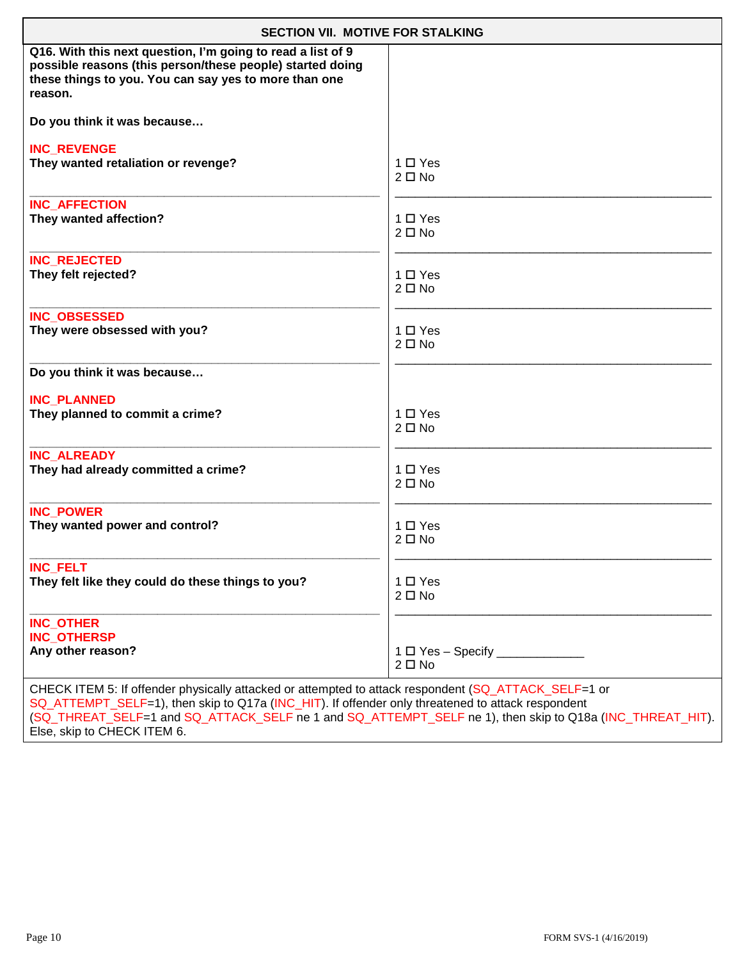| <b>SECTION VII. MOTIVE FOR STALKING</b>                                                                                                                                                                                                                                                                               |               |  |
|-----------------------------------------------------------------------------------------------------------------------------------------------------------------------------------------------------------------------------------------------------------------------------------------------------------------------|---------------|--|
| Q16. With this next question, I'm going to read a list of 9<br>possible reasons (this person/these people) started doing<br>these things to you. You can say yes to more than one<br>reason.                                                                                                                          |               |  |
| Do you think it was because                                                                                                                                                                                                                                                                                           |               |  |
| <b>INC REVENGE</b>                                                                                                                                                                                                                                                                                                    | $1 \Box Y$ es |  |
| They wanted retaliation or revenge?                                                                                                                                                                                                                                                                                   | $2 \Box$ No   |  |
| <b>INC AFFECTION</b>                                                                                                                                                                                                                                                                                                  | $1 \Box Y$ es |  |
| They wanted affection?                                                                                                                                                                                                                                                                                                | $2 \Box$ No   |  |
| <b>INC REJECTED</b>                                                                                                                                                                                                                                                                                                   | $1 \Box Y$ es |  |
| They felt rejected?                                                                                                                                                                                                                                                                                                   | $2 \Box$ No   |  |
| <b>INC OBSESSED</b>                                                                                                                                                                                                                                                                                                   | $1 \Box Y$ es |  |
| They were obsessed with you?                                                                                                                                                                                                                                                                                          | $2 \Box$ No   |  |
| Do you think it was because                                                                                                                                                                                                                                                                                           |               |  |
| <b>INC PLANNED</b>                                                                                                                                                                                                                                                                                                    | $1 \Box Y$ es |  |
| They planned to commit a crime?                                                                                                                                                                                                                                                                                       | $2 \Box$ No   |  |
| <b>INC ALREADY</b>                                                                                                                                                                                                                                                                                                    | $1 \Box Y$ es |  |
| They had already committed a crime?                                                                                                                                                                                                                                                                                   | $2 \Box$ No   |  |
| <b>INC POWER</b>                                                                                                                                                                                                                                                                                                      | $1 \Box Y$ es |  |
| They wanted power and control?                                                                                                                                                                                                                                                                                        | $2 \Box$ No   |  |
| <b>INC_FELT</b>                                                                                                                                                                                                                                                                                                       | $1 \Box Y$ es |  |
| They felt like they could do these things to you?                                                                                                                                                                                                                                                                     | $2 \Box$ No   |  |
| <b>INC_OTHER</b><br><b>INC_OTHERSP</b><br>Any other reason?                                                                                                                                                                                                                                                           | $2 \Box$ No   |  |
| CHECK ITEM 5: If offender physically attacked or attempted to attack respondent (SQ_ATTACK_SELF=1 or<br>SQ_ATTEMPT_SELF=1), then skip to Q17a (INC_HIT). If offender only threatened to attack respondent<br>(SQ_THREAT_SELF=1 and SQ_ATTACK_SELF ne 1 and SQ_ATTEMPT_SELF ne 1), then skip to Q18a (INC_THREAT_HIT). |               |  |

Else, skip to CHECK ITEM 6.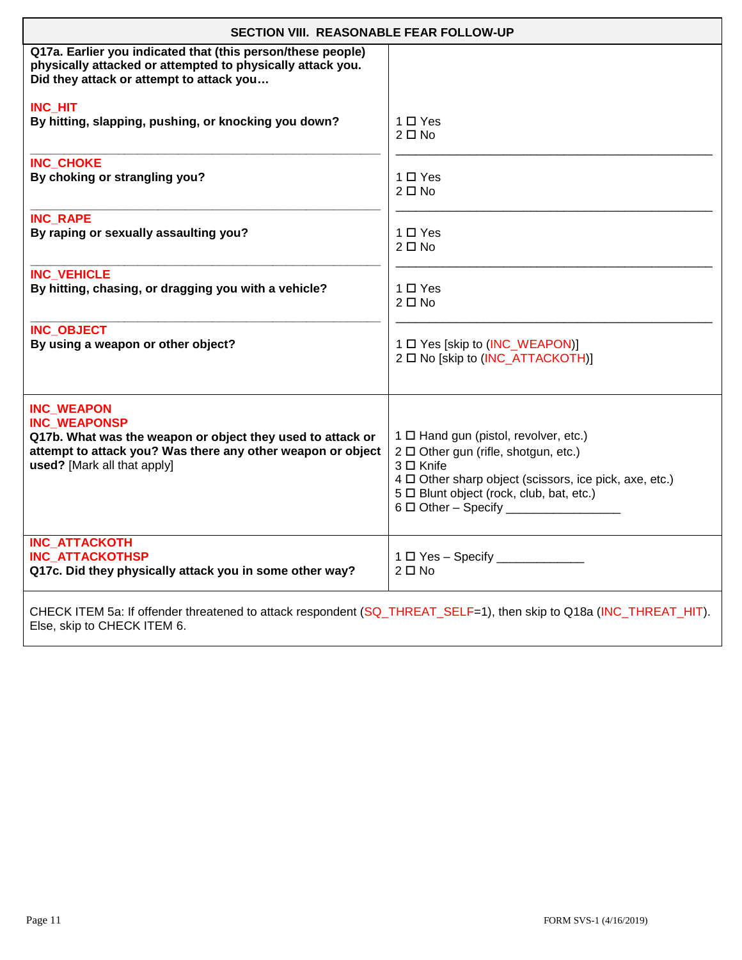| SECTION VIII. REASONABLE FEAR FOLLOW-UP                                                                                                                                                              |                                                                                                                                                                                                                                             |  |
|------------------------------------------------------------------------------------------------------------------------------------------------------------------------------------------------------|---------------------------------------------------------------------------------------------------------------------------------------------------------------------------------------------------------------------------------------------|--|
| Q17a. Earlier you indicated that (this person/these people)<br>physically attacked or attempted to physically attack you.<br>Did they attack or attempt to attack you                                |                                                                                                                                                                                                                                             |  |
| <b>INC HIT</b>                                                                                                                                                                                       | $1 \Box Y$ es                                                                                                                                                                                                                               |  |
| By hitting, slapping, pushing, or knocking you down?                                                                                                                                                 | $2 \Box$ No                                                                                                                                                                                                                                 |  |
| <b>INC CHOKE</b>                                                                                                                                                                                     | 1 □ Yes                                                                                                                                                                                                                                     |  |
| By choking or strangling you?                                                                                                                                                                        | $2 \Box$ No                                                                                                                                                                                                                                 |  |
| <b>INC RAPE</b>                                                                                                                                                                                      | $1 \Box Y$ es                                                                                                                                                                                                                               |  |
| By raping or sexually assaulting you?                                                                                                                                                                | $2 \Box$ No                                                                                                                                                                                                                                 |  |
| <b>INC VEHICLE</b>                                                                                                                                                                                   | 1 □ Yes                                                                                                                                                                                                                                     |  |
| By hitting, chasing, or dragging you with a vehicle?                                                                                                                                                 | $2 \Box$ No                                                                                                                                                                                                                                 |  |
| <b>INC_OBJECT</b>                                                                                                                                                                                    | 1 □ Yes [skip to (INC_WEAPON)]                                                                                                                                                                                                              |  |
| By using a weapon or other object?                                                                                                                                                                   | 2 □ No [skip to (INC_ATTACKOTH)]                                                                                                                                                                                                            |  |
| <b>INC WEAPON</b><br><b>INC WEAPONSP</b><br>Q17b. What was the weapon or object they used to attack or<br>attempt to attack you? Was there any other weapon or object<br>used? [Mark all that apply] | 1 O Hand gun (pistol, revolver, etc.)<br>2 □ Other gun (rifle, shotgun, etc.)<br>3 □ Knife<br>4 D Other sharp object (scissors, ice pick, axe, etc.)<br>5 D Blunt object (rock, club, bat, etc.)<br>6 □ Other - Specify ___________________ |  |
| <b>INC ATTACKOTH</b><br><b>INC ATTACKOTHSP</b><br>Q17c. Did they physically attack you in some other way?                                                                                            | 1 D Yes - Specify ______________<br>$2 \Box$ No                                                                                                                                                                                             |  |
| CHECK ITEM 5a: If offender threatened to attack respondent (SQ_THREAT_SELF=1), then skip to Q18a (INC_THREAT_HIT).<br>Else, skip to CHECK ITEM 6.                                                    |                                                                                                                                                                                                                                             |  |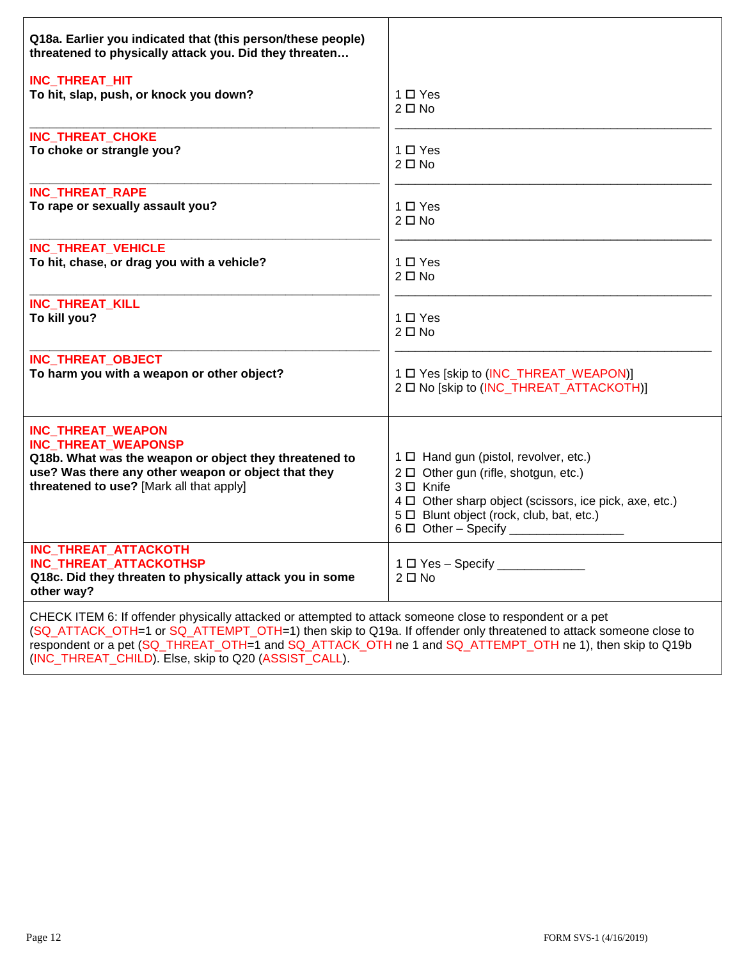| Q18a. Earlier you indicated that (this person/these people)<br>threatened to physically attack you. Did they threaten                                                                                                                                                                                                                                                                           |                                                                                                                                                                                                                                          |  |
|-------------------------------------------------------------------------------------------------------------------------------------------------------------------------------------------------------------------------------------------------------------------------------------------------------------------------------------------------------------------------------------------------|------------------------------------------------------------------------------------------------------------------------------------------------------------------------------------------------------------------------------------------|--|
| INC_THREAT_HIT                                                                                                                                                                                                                                                                                                                                                                                  | $1 \Box Y$ es                                                                                                                                                                                                                            |  |
| To hit, slap, push, or knock you down?                                                                                                                                                                                                                                                                                                                                                          | $2 \Box$ No                                                                                                                                                                                                                              |  |
| INC_THREAT_CHOKE                                                                                                                                                                                                                                                                                                                                                                                | $1 \Box Y$ es                                                                                                                                                                                                                            |  |
| To choke or strangle you?                                                                                                                                                                                                                                                                                                                                                                       | $2 \Box$ No                                                                                                                                                                                                                              |  |
| INC_THREAT_RAPE                                                                                                                                                                                                                                                                                                                                                                                 | 1 □ Yes                                                                                                                                                                                                                                  |  |
| To rape or sexually assault you?                                                                                                                                                                                                                                                                                                                                                                | $2 \Box$ No                                                                                                                                                                                                                              |  |
| INC_THREAT_VEHICLE                                                                                                                                                                                                                                                                                                                                                                              | $1 \Box Y$ es                                                                                                                                                                                                                            |  |
| To hit, chase, or drag you with a vehicle?                                                                                                                                                                                                                                                                                                                                                      | $2 \Box$ No                                                                                                                                                                                                                              |  |
| <b>INC_THREAT_KILL</b>                                                                                                                                                                                                                                                                                                                                                                          | $1 \Box Y$ es                                                                                                                                                                                                                            |  |
| To kill you?                                                                                                                                                                                                                                                                                                                                                                                    | $2 \Box$ No                                                                                                                                                                                                                              |  |
| INC_THREAT_OBJECT                                                                                                                                                                                                                                                                                                                                                                               | 1 □ Yes [skip to (INC_THREAT_WEAPON)]                                                                                                                                                                                                    |  |
| To harm you with a weapon or other object?                                                                                                                                                                                                                                                                                                                                                      | 2 □ No [skip to (INC_THREAT_ATTACKOTH)]                                                                                                                                                                                                  |  |
| INC_THREAT_WEAPON<br>INC_THREAT_WEAPONSP<br>Q18b. What was the weapon or object they threatened to<br>use? Was there any other weapon or object that they<br>threatened to use? [Mark all that apply]                                                                                                                                                                                           | 1 □ Hand gun (pistol, revolver, etc.)<br>2 D Other gun (rifle, shotgun, etc.)<br>3 □ Knife<br>$4 \Box$ Other sharp object (scissors, ice pick, axe, etc.)<br>5 D Blunt object (rock, club, bat, etc.)<br>6 $\Box$ Other - Specify $\Box$ |  |
| INC_THREAT_ATTACKOTH<br>INC_THREAT_ATTACKOTHSP<br>Q18c. Did they threaten to physically attack you in some<br>other way?                                                                                                                                                                                                                                                                        | 1 O Yes - Specify ___________<br>$2 \Box$ No                                                                                                                                                                                             |  |
| CHECK ITEM 6: If offender physically attacked or attempted to attack someone close to respondent or a pet<br>(SQ_ATTACK_OTH=1 or SQ_ATTEMPT_OTH=1) then skip to Q19a. If offender only threatened to attack someone close to<br>respondent or a pet (SQ THREAT OTH=1 and SQ ATTACK OTH ne 1 and SQ ATTEMPT OTH ne 1), then skip to Q19b<br>(INC THREAT CHILD). Else, skip to Q20 (ASSIST CALL). |                                                                                                                                                                                                                                          |  |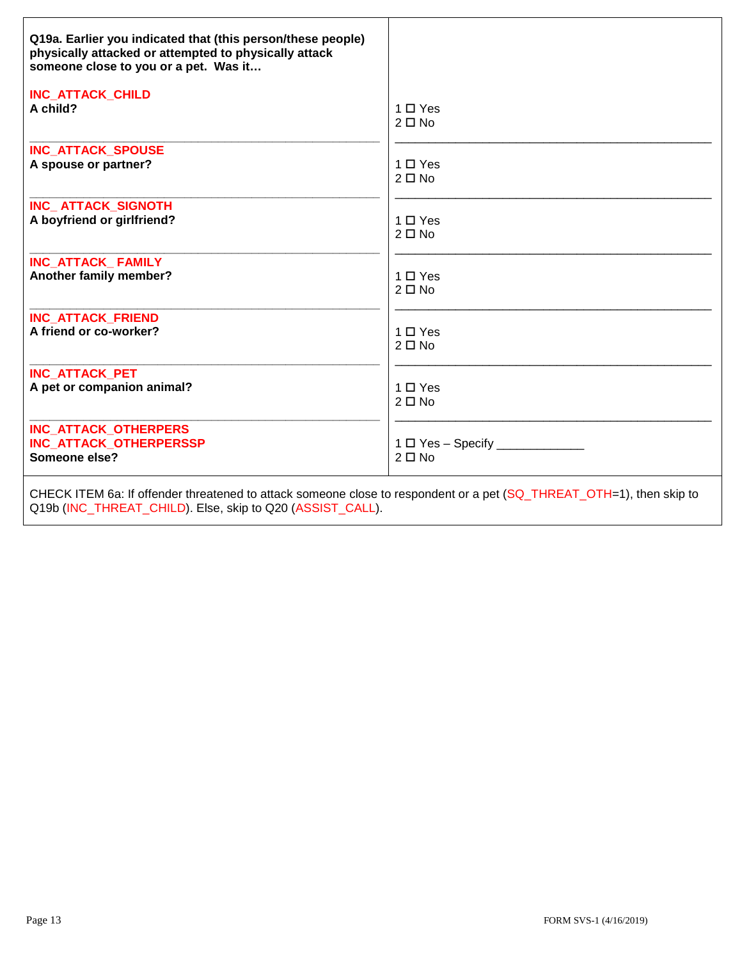| Q19a. Earlier you indicated that (this person/these people)<br>physically attacked or attempted to physically attack<br>someone close to you or a pet. Was it |               |
|---------------------------------------------------------------------------------------------------------------------------------------------------------------|---------------|
| <b>INC_ATTACK_CHILD</b>                                                                                                                                       | $1 \Box Y$ es |
| A child?                                                                                                                                                      | $2 \Box$ No   |
| INC_ATTACK_SPOUSE                                                                                                                                             | $1 \Box Y$ es |
| A spouse or partner?                                                                                                                                          | $2 \Box$ No   |
| INC_ATTACK_SIGNOTH                                                                                                                                            | $1 \Box Y$ es |
| A boyfriend or girlfriend?                                                                                                                                    | $2 \Box$ No   |
| INC ATTACK FAMILY                                                                                                                                             | $1 \Box Y$ es |
| Another family member?                                                                                                                                        | $2 \Box$ No   |
| <b>INC ATTACK FRIEND</b>                                                                                                                                      | $1 \Box Y$ es |
| A friend or co-worker?                                                                                                                                        | $2 \Box$ No   |
| <b>INC_ATTACK_PET</b>                                                                                                                                         | $1 \Box Y$ es |
| A pet or companion animal?                                                                                                                                    | $2 \Box$ No   |
| <b>INC ATTACK OTHERPERS</b><br><b>INC ATTACK OTHERPERSSP</b><br>Someone else?                                                                                 | $2 \Box$ No   |
| CHECK ITEM 6a: If offender threatened to attack someone close to respondent or a pet (SQ_THREAT_OTH=1), then skip to                                          |               |

Q19b (INC\_THREAT\_CHILD). Else, skip to Q20 (ASSIST\_CALL).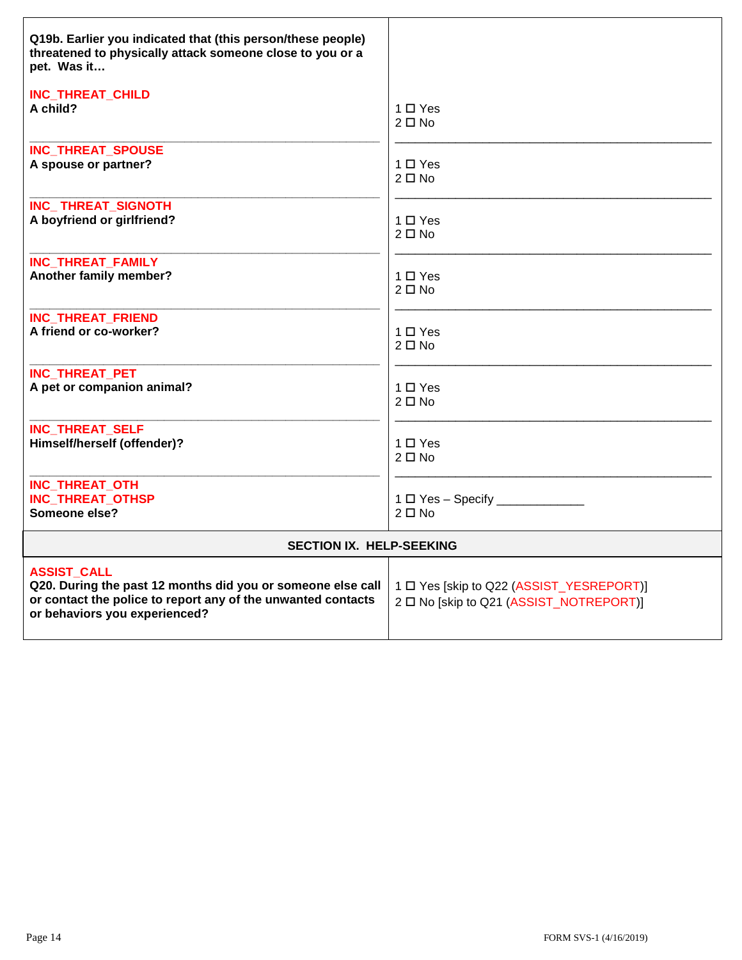| Q19b. Earlier you indicated that (this person/these people)<br>threatened to physically attack someone close to you or a<br>pet. Was it                                            |                                                                                     |
|------------------------------------------------------------------------------------------------------------------------------------------------------------------------------------|-------------------------------------------------------------------------------------|
| INC_THREAT_CHILD                                                                                                                                                                   | 1 □ Yes                                                                             |
| A child?                                                                                                                                                                           | $2 \Box$ No                                                                         |
| <b>INC_THREAT_SPOUSE</b>                                                                                                                                                           | $1 \Box Y$ es                                                                       |
| A spouse or partner?                                                                                                                                                               | $2 \Box$ No                                                                         |
| <b>INC_THREAT_SIGNOTH</b>                                                                                                                                                          | $1 \Box Y$ es                                                                       |
| A boyfriend or girlfriend?                                                                                                                                                         | $2 \Box$ No                                                                         |
| <b>INC_THREAT_FAMILY</b>                                                                                                                                                           | 1 O Yes                                                                             |
| Another family member?                                                                                                                                                             | $2 \Box$ No                                                                         |
| <b>INC THREAT FRIEND</b>                                                                                                                                                           | $1 \Box Y$ es                                                                       |
| A friend or co-worker?                                                                                                                                                             | $2 \Box$ No                                                                         |
| <b>INC THREAT PET</b>                                                                                                                                                              | 1 □ Yes                                                                             |
| A pet or companion animal?                                                                                                                                                         | $2 \Box$ No                                                                         |
| <b>INC_THREAT_SELF</b>                                                                                                                                                             | 1 O Yes                                                                             |
| Himself/herself (offender)?                                                                                                                                                        | $2 \Box$ No                                                                         |
| INC_THREAT_OTH<br><b>INC THREAT OTHSP</b><br>Someone else?                                                                                                                         | $1 \Box$ Yes - Specify $\Box$<br>$2 \Box$ No                                        |
| <b>SECTION IX. HELP-SEEKING</b>                                                                                                                                                    |                                                                                     |
| <b>ASSIST_CALL</b><br>Q20. During the past 12 months did you or someone else call<br>or contact the police to report any of the unwanted contacts<br>or behaviors you experienced? | 1 □ Yes [skip to Q22 (ASSIST_YESREPORT)]<br>2 □ No [skip to Q21 (ASSIST_NOTREPORT)] |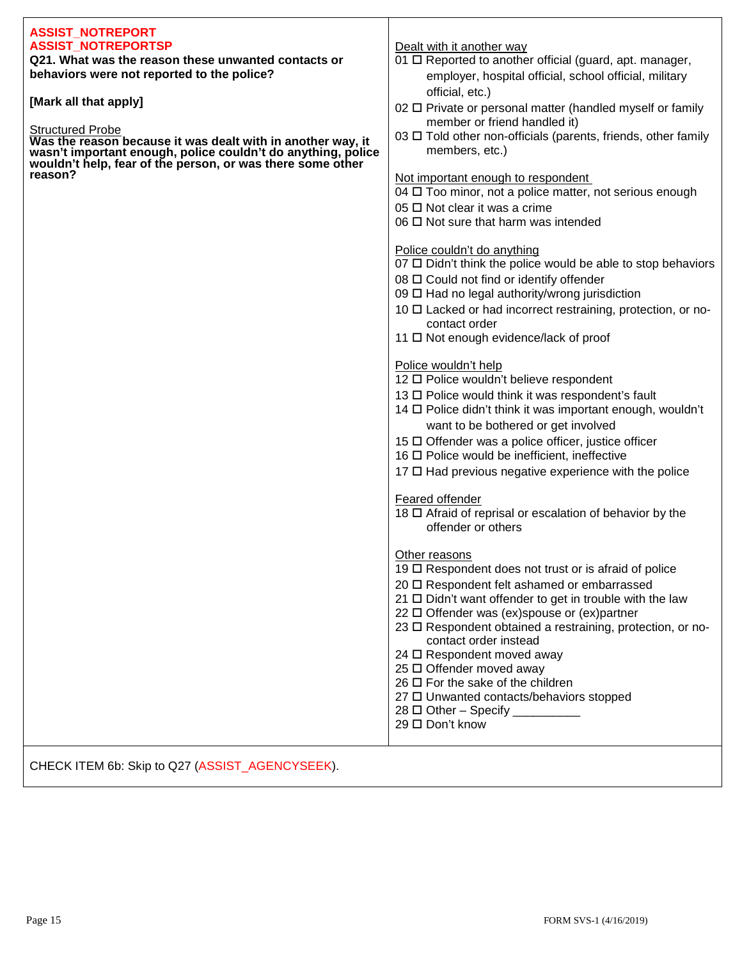| <b>ASSIST_NOTREPORT</b>                                                                                                                                                                   |                                                                        |
|-------------------------------------------------------------------------------------------------------------------------------------------------------------------------------------------|------------------------------------------------------------------------|
| <b>ASSIST NOTREPORTSP</b>                                                                                                                                                                 | Dealt with it another way                                              |
| Q21. What was the reason these unwanted contacts or                                                                                                                                       | 01 O Reported to another official (guard, apt. manager,                |
| behaviors were not reported to the police?                                                                                                                                                | employer, hospital official, school official, military                 |
|                                                                                                                                                                                           | official, etc.)                                                        |
| [Mark all that apply]                                                                                                                                                                     | 02 □ Private or personal matter (handled myself or family              |
|                                                                                                                                                                                           | member or friend handled it)                                           |
| <b>Structured Probe</b>                                                                                                                                                                   | 03 □ Told other non-officials (parents, friends, other family          |
| Was the reason because it was dealt with in another way, it<br>wasn't important enough, police couldn't do anything, police<br>wouldn't help, fear of the person, or was there some other | members, etc.)                                                         |
|                                                                                                                                                                                           |                                                                        |
| reason?                                                                                                                                                                                   | Not important enough to respondent                                     |
|                                                                                                                                                                                           | 04 $\Box$ Too minor, not a police matter, not serious enough           |
|                                                                                                                                                                                           | 05 □ Not clear it was a crime                                          |
|                                                                                                                                                                                           | $06 \Box$ Not sure that harm was intended                              |
|                                                                                                                                                                                           |                                                                        |
|                                                                                                                                                                                           | Police couldn't do anything                                            |
|                                                                                                                                                                                           | 07 □ Didn't think the police would be able to stop behaviors           |
|                                                                                                                                                                                           | 08 □ Could not find or identify offender                               |
|                                                                                                                                                                                           | 09 □ Had no legal authority/wrong jurisdiction                         |
|                                                                                                                                                                                           | 10 □ Lacked or had incorrect restraining, protection, or no-           |
|                                                                                                                                                                                           | contact order<br>11 □ Not enough evidence/lack of proof                |
|                                                                                                                                                                                           |                                                                        |
|                                                                                                                                                                                           | Police wouldn't help                                                   |
|                                                                                                                                                                                           | 12 O Police wouldn't believe respondent                                |
|                                                                                                                                                                                           | 13 □ Police would think it was respondent's fault                      |
|                                                                                                                                                                                           | 14 □ Police didn't think it was important enough, wouldn't             |
|                                                                                                                                                                                           | want to be bothered or get involved                                    |
|                                                                                                                                                                                           | 15 □ Offender was a police officer, justice officer                    |
|                                                                                                                                                                                           | 16 O Police would be inefficient, ineffective                          |
|                                                                                                                                                                                           | 17 □ Had previous negative experience with the police                  |
|                                                                                                                                                                                           |                                                                        |
|                                                                                                                                                                                           | Feared offender                                                        |
|                                                                                                                                                                                           | 18 □ Afraid of reprisal or escalation of behavior by the               |
|                                                                                                                                                                                           | offender or others                                                     |
|                                                                                                                                                                                           |                                                                        |
|                                                                                                                                                                                           | Other reasons<br>19 O Respondent does not trust or is afraid of police |
|                                                                                                                                                                                           | 20 □ Respondent felt ashamed or embarrassed                            |
|                                                                                                                                                                                           | $21 \square$ Didn't want offender to get in trouble with the law       |
|                                                                                                                                                                                           | 22 $\Box$ Offender was (ex)spouse or (ex)partner                       |
|                                                                                                                                                                                           | 23 □ Respondent obtained a restraining, protection, or no-             |
|                                                                                                                                                                                           | contact order instead                                                  |
|                                                                                                                                                                                           | 24 □ Respondent moved away                                             |
|                                                                                                                                                                                           | 25 □ Offender moved away                                               |
|                                                                                                                                                                                           | $26 \square$ For the sake of the children                              |
|                                                                                                                                                                                           | 27 □ Unwanted contacts/behaviors stopped                               |
|                                                                                                                                                                                           | $28 \Box$ Other - Specify ___________                                  |
|                                                                                                                                                                                           | 29 □ Don't know                                                        |
|                                                                                                                                                                                           |                                                                        |
|                                                                                                                                                                                           |                                                                        |

Т

CHECK ITEM 6b: Skip to Q27 (ASSIST\_AGENCYSEEK).

 $\mathsf{r}$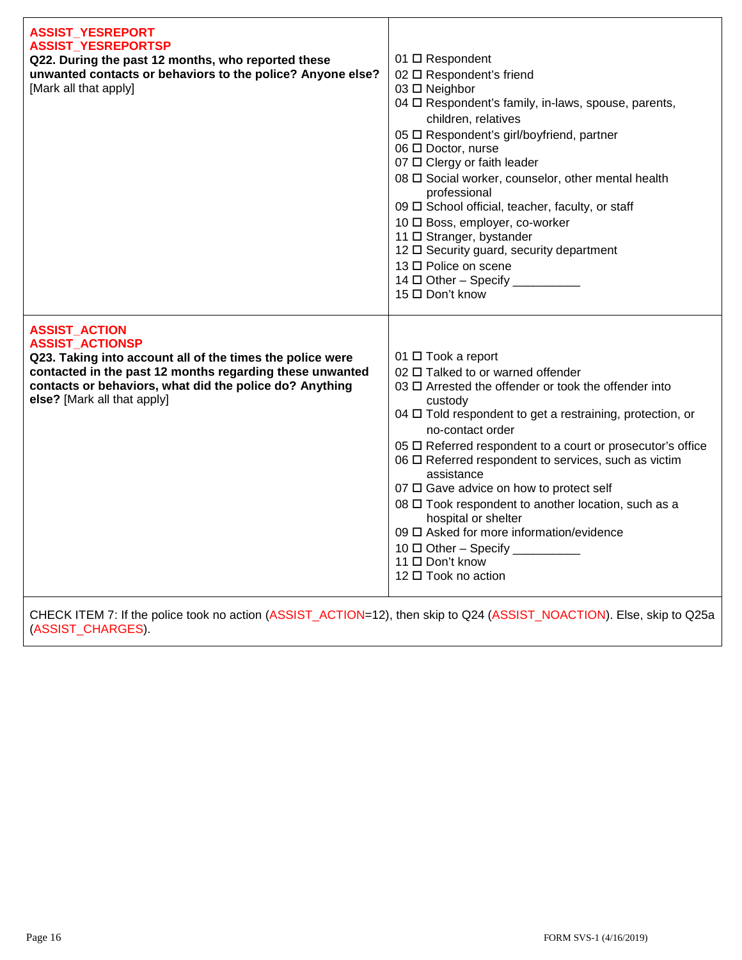| <b>ASSIST_YESREPORT</b><br><b>ASSIST_YESREPORTSP</b><br>Q22. During the past 12 months, who reported these<br>unwanted contacts or behaviors to the police? Anyone else?<br>[Mark all that apply]                                                                 | 01 □ Respondent<br>02 □ Respondent's friend<br>03 □ Neighbor<br>04 O Respondent's family, in-laws, spouse, parents,<br>children, relatives<br>05 □ Respondent's girl/boyfriend, partner<br>06 □ Doctor, nurse<br>07 □ Clergy or faith leader<br>08 $\Box$ Social worker, counselor, other mental health<br>professional<br>09 □ School official, teacher, faculty, or staff<br>10 □ Boss, employer, co-worker<br>11 □ Stranger, bystander<br>12 □ Security guard, security department<br>13 □ Police on scene<br>$14 \Box$ Other - Specify ___________<br>15 □ Don't know                                             |
|-------------------------------------------------------------------------------------------------------------------------------------------------------------------------------------------------------------------------------------------------------------------|-----------------------------------------------------------------------------------------------------------------------------------------------------------------------------------------------------------------------------------------------------------------------------------------------------------------------------------------------------------------------------------------------------------------------------------------------------------------------------------------------------------------------------------------------------------------------------------------------------------------------|
| <b>ASSIST_ACTION</b><br><b>ASSIST ACTIONSP</b><br>Q23. Taking into account all of the times the police were<br>contacted in the past 12 months regarding these unwanted<br>contacts or behaviors, what did the police do? Anything<br>else? [Mark all that apply] | 01 □ Took a report<br>02 □ Talked to or warned offender<br>03 □ Arrested the offender or took the offender into<br>custody<br>04 $\Box$ Told respondent to get a restraining, protection, or<br>no-contact order<br>05 □ Referred respondent to a court or prosecutor's office<br>06 $\Box$ Referred respondent to services, such as victim<br>assistance<br>07 $\Box$ Gave advice on how to protect self<br>08 □ Took respondent to another location, such as a<br>hospital or shelter<br>09 O Asked for more information/evidence<br>$10 \Box$ Other - Specify __________<br>11 □ Don't know<br>12 □ Took no action |

CHECK ITEM 7: If the police took no action (ASSIST\_ACTION=12), then skip to Q24 (ASSIST\_NOACTION). Else, skip to Q25a (ASSIST\_CHARGES).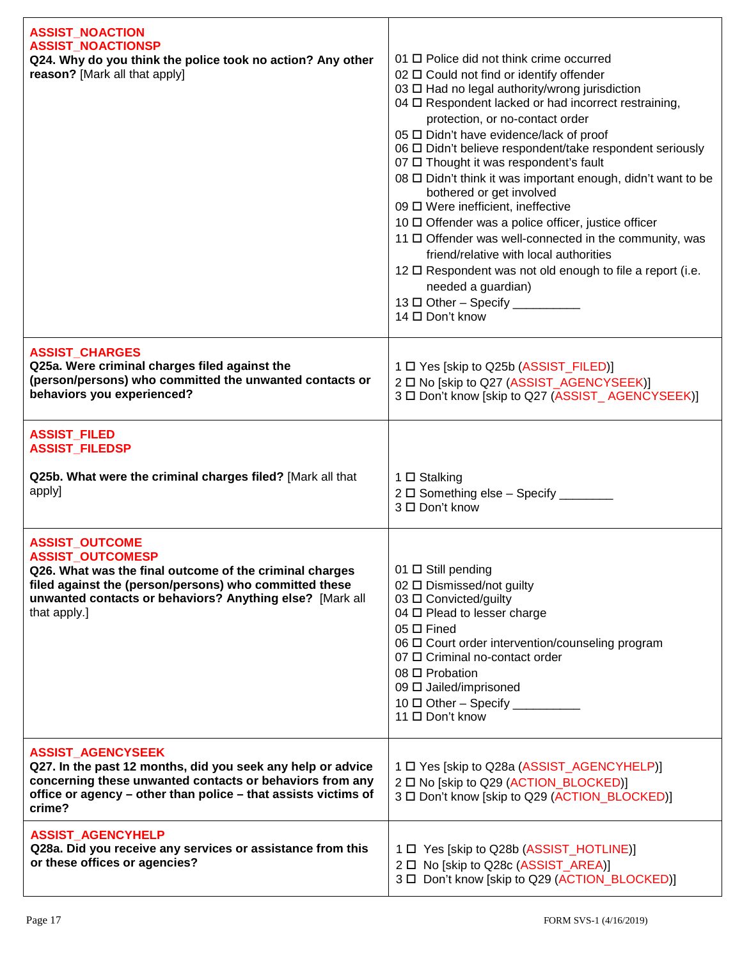| <b>ASSIST_NOACTION</b><br><b>ASSIST_NOACTIONSP</b><br>Q24. Why do you think the police took no action? Any other<br>reason? [Mark all that apply]                                                                                                 | 01 $\Box$ Police did not think crime occurred<br>02 □ Could not find or identify offender<br>03 □ Had no legal authority/wrong jurisdiction<br>04 O Respondent lacked or had incorrect restraining,<br>protection, or no-contact order<br>05 □ Didn't have evidence/lack of proof<br>06 □ Didn't believe respondent/take respondent seriously<br>07 □ Thought it was respondent's fault<br>08 □ Didn't think it was important enough, didn't want to be<br>bothered or get involved<br>09 □ Were inefficient, ineffective<br>10 □ Offender was a police officer, justice officer<br>11 □ Offender was well-connected in the community, was<br>friend/relative with local authorities<br>12 $\Box$ Respondent was not old enough to file a report (i.e.<br>needed a guardian)<br>13 $\Box$ Other - Specify __<br>14 □ Don't know |
|---------------------------------------------------------------------------------------------------------------------------------------------------------------------------------------------------------------------------------------------------|---------------------------------------------------------------------------------------------------------------------------------------------------------------------------------------------------------------------------------------------------------------------------------------------------------------------------------------------------------------------------------------------------------------------------------------------------------------------------------------------------------------------------------------------------------------------------------------------------------------------------------------------------------------------------------------------------------------------------------------------------------------------------------------------------------------------------------|
| <b>ASSIST_CHARGES</b><br>Q25a. Were criminal charges filed against the<br>(person/persons) who committed the unwanted contacts or<br>behaviors you experienced?                                                                                   | 1 □ Yes [skip to Q25b (ASSIST_FILED)]<br>2 □ No [skip to Q27 (ASSIST_AGENCYSEEK)]<br>3 □ Don't know [skip to Q27 (ASSIST_AGENCYSEEK)]                                                                                                                                                                                                                                                                                                                                                                                                                                                                                                                                                                                                                                                                                           |
| <b>ASSIST_FILED</b><br><b>ASSIST_FILEDSP</b>                                                                                                                                                                                                      |                                                                                                                                                                                                                                                                                                                                                                                                                                                                                                                                                                                                                                                                                                                                                                                                                                 |
| Q25b. What were the criminal charges filed? [Mark all that<br>apply]                                                                                                                                                                              | 1 □ Stalking<br>2 □ Something else - Specify _____<br>3 □ Don't know                                                                                                                                                                                                                                                                                                                                                                                                                                                                                                                                                                                                                                                                                                                                                            |
| <b>ASSIST_OUTCOME</b><br><b>ASSIST_OUTCOMESP</b><br>Q26. What was the final outcome of the criminal charges<br>filed against the (person/persons) who committed these<br>unwanted contacts or behaviors? Anything else? [Mark all<br>that apply.] | 01 □ Still pending<br>02 □ Dismissed/not guilty<br>03 □ Convicted/guilty<br>04 □ Plead to lesser charge<br>$05 \Box$ Fined<br>06 $\Box$ Court order intervention/counseling program<br>07 O Criminal no-contact order<br>08 □ Probation<br>09 [ Jailed/imprisoned<br>10 □ Other - Specify<br>11 □ Don't know                                                                                                                                                                                                                                                                                                                                                                                                                                                                                                                    |
| <b>ASSIST_AGENCYSEEK</b><br>Q27. In the past 12 months, did you seek any help or advice<br>concerning these unwanted contacts or behaviors from any<br>office or agency - other than police - that assists victims of<br>crime?                   | 1 □ Yes [skip to Q28a (ASSIST_AGENCYHELP)]<br>2 □ No [skip to Q29 (ACTION_BLOCKED)]<br>3 □ Don't know [skip to Q29 (ACTION_BLOCKED)]                                                                                                                                                                                                                                                                                                                                                                                                                                                                                                                                                                                                                                                                                            |
| <b>ASSIST_AGENCYHELP</b><br>Q28a. Did you receive any services or assistance from this<br>or these offices or agencies?                                                                                                                           | 1 D Yes [skip to Q28b (ASSIST_HOTLINE)]<br>2 □ No [skip to Q28c (ASSIST_AREA)]<br>3 □ Don't know [skip to Q29 (ACTION_BLOCKED)]                                                                                                                                                                                                                                                                                                                                                                                                                                                                                                                                                                                                                                                                                                 |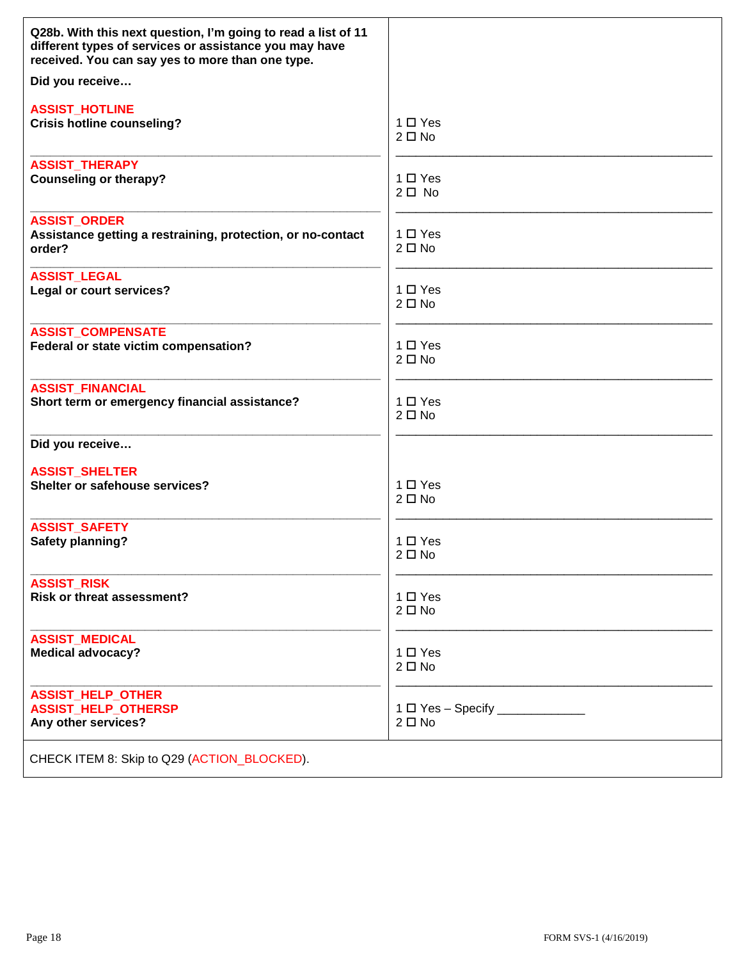| Q28b. With this next question, I'm going to read a list of 11<br>different types of services or assistance you may have<br>received. You can say yes to more than one type. |                              |
|-----------------------------------------------------------------------------------------------------------------------------------------------------------------------------|------------------------------|
| Did you receive                                                                                                                                                             |                              |
| <b>ASSIST_HOTLINE</b>                                                                                                                                                       | $1 \Box Y$ es                |
| <b>Crisis hotline counseling?</b>                                                                                                                                           | $2 \Box$ No                  |
| <b>ASSIST_THERAPY</b>                                                                                                                                                       | 1 □ Yes                      |
| <b>Counseling or therapy?</b>                                                                                                                                               | $2\square$ No                |
| <b>ASSIST_ORDER</b><br>Assistance getting a restraining, protection, or no-contact<br>order?                                                                                | $1 \Box Y$ es<br>$2 \Box$ No |
| <b>ASSIST_LEGAL</b>                                                                                                                                                         | $1 \Box Y$ es                |
| Legal or court services?                                                                                                                                                    | $2 \Box$ No                  |
| <b>ASSIST_COMPENSATE</b>                                                                                                                                                    | 1 □ Yes                      |
| Federal or state victim compensation?                                                                                                                                       | $2 \Box$ No                  |
| <b>ASSIST FINANCIAL</b>                                                                                                                                                     | $1 \Box Y$ es                |
| Short term or emergency financial assistance?                                                                                                                               | $2 \Box$ No                  |
| Did you receive                                                                                                                                                             |                              |
| <b>ASSIST_SHELTER</b>                                                                                                                                                       | $1 \Box Y$ es                |
| Shelter or safehouse services?                                                                                                                                              | $2 \Box$ No                  |
| <b>ASSIST SAFETY</b>                                                                                                                                                        | $1 \Box Y$ es                |
| <b>Safety planning?</b>                                                                                                                                                     | $2 \Box$ No                  |
| <b>ASSIST_RISK</b>                                                                                                                                                          | 1 □ Yes                      |
| <b>Risk or threat assessment?</b>                                                                                                                                           | $2 \Box$ No                  |
| <b>ASSIST_MEDICAL</b>                                                                                                                                                       | 1 □ Yes                      |
| <b>Medical advocacy?</b>                                                                                                                                                    | $2 \Box$ No                  |
| <b>ASSIST_HELP_OTHER</b><br><b>ASSIST_HELP_OTHERSP</b><br>Any other services?                                                                                               | $2 \Box$ No                  |
| CHECK ITEM 8: Skip to Q29 (ACTION_BLOCKED).                                                                                                                                 |                              |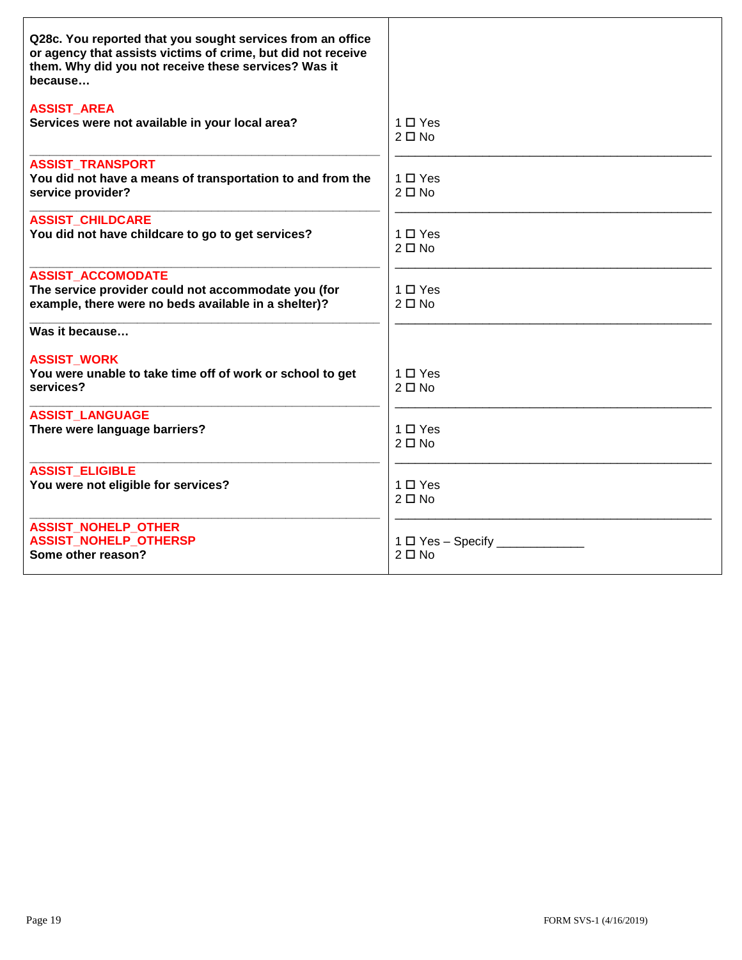| Q28c. You reported that you sought services from an office<br>or agency that assists victims of crime, but did not receive<br>them. Why did you not receive these services? Was it<br>because |                                         |
|-----------------------------------------------------------------------------------------------------------------------------------------------------------------------------------------------|-----------------------------------------|
| <b>ASSIST_AREA</b><br>Services were not available in your local area?                                                                                                                         | $1 \Box Y$ es<br>$2 \Box$ No            |
| <b>ASSIST TRANSPORT</b><br>You did not have a means of transportation to and from the<br>service provider?                                                                                    | 1 □ Yes<br>$2 \Box$ No                  |
| <b>ASSIST CHILDCARE</b><br>You did not have childcare to go to get services?                                                                                                                  | $1 \Box Y$ es<br>$2 \Box$ No            |
| <b>ASSIST ACCOMODATE</b><br>The service provider could not accommodate you (for<br>example, there were no beds available in a shelter)?                                                       | $1 \Box Y$ es<br>$2 \Box$ No            |
| Was it because                                                                                                                                                                                |                                         |
| <b>ASSIST_WORK</b><br>You were unable to take time off of work or school to get<br>services?                                                                                                  | $1 \square$ Yes<br>$2 \Box$ No          |
| <b>ASSIST LANGUAGE</b><br>There were language barriers?                                                                                                                                       | $1 \Box Y$ es<br>$2 \Box$ No            |
| <b>ASSIST ELIGIBLE</b><br>You were not eligible for services?                                                                                                                                 | $1 \Box Y$ es<br>$2 \Box$ No            |
| <b>ASSIST NOHELP OTHER</b><br><b>ASSIST NOHELP OTHERSP</b><br>Some other reason?                                                                                                              | $1 \Box$ Yes - Specify _<br>$2 \Box$ No |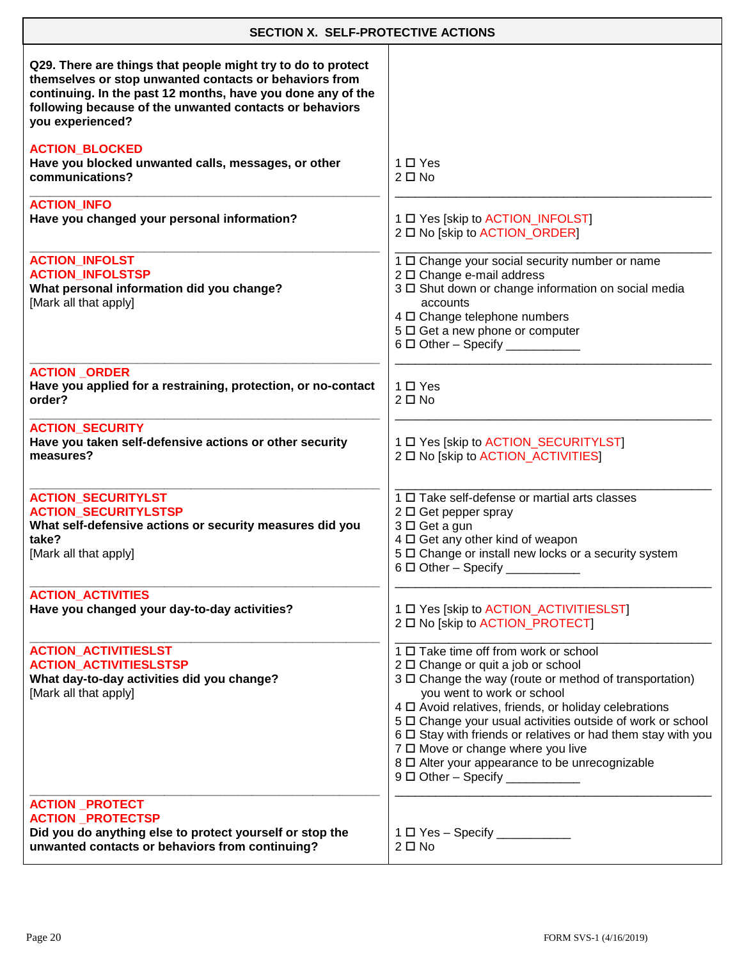| <b>SECTION X. SELF-PROTECTIVE ACTIONS</b>                                                                                                                                                                                                                            |                                                                                                                                                                                                                                                                                                                                                                                                                                                                                                    |
|----------------------------------------------------------------------------------------------------------------------------------------------------------------------------------------------------------------------------------------------------------------------|----------------------------------------------------------------------------------------------------------------------------------------------------------------------------------------------------------------------------------------------------------------------------------------------------------------------------------------------------------------------------------------------------------------------------------------------------------------------------------------------------|
| Q29. There are things that people might try to do to protect<br>themselves or stop unwanted contacts or behaviors from<br>continuing. In the past 12 months, have you done any of the<br>following because of the unwanted contacts or behaviors<br>you experienced? |                                                                                                                                                                                                                                                                                                                                                                                                                                                                                                    |
| <b>ACTION_BLOCKED</b><br>Have you blocked unwanted calls, messages, or other<br>communications?                                                                                                                                                                      | $1 \Box Y$ es<br>$2 \Box$ No                                                                                                                                                                                                                                                                                                                                                                                                                                                                       |
| <b>ACTION_INFO</b><br>Have you changed your personal information?                                                                                                                                                                                                    | 1 D Yes [skip to ACTION_INFOLST]<br>2 □ No [skip to ACTION_ORDER]                                                                                                                                                                                                                                                                                                                                                                                                                                  |
| <b>ACTION_INFOLST</b><br><b>ACTION INFOLSTSP</b><br>What personal information did you change?<br>[Mark all that apply]                                                                                                                                               | 1 O Change your social security number or name<br>2 □ Change e-mail address<br>3 D Shut down or change information on social media<br>accounts<br>4 D Change telephone numbers<br>5 $\Box$ Get a new phone or computer<br>$6 \Box$ Other - Specify __________                                                                                                                                                                                                                                      |
| <b>ACTION ORDER</b><br>Have you applied for a restraining, protection, or no-contact<br>order?                                                                                                                                                                       | $1 \Box Y$ es<br>$2 \Box$ No                                                                                                                                                                                                                                                                                                                                                                                                                                                                       |
| <b>ACTION_SECURITY</b><br>Have you taken self-defensive actions or other security<br>measures?                                                                                                                                                                       | 1 D Yes [skip to ACTION_SECURITYLST]<br>2 O No [skip to ACTION_ACTIVITIES]                                                                                                                                                                                                                                                                                                                                                                                                                         |
| <b>ACTION_SECURITYLST</b><br><b>ACTION_SECURITYLSTSP</b><br>What self-defensive actions or security measures did you<br>take?<br>[Mark all that apply]                                                                                                               | 1 □ Take self-defense or martial arts classes<br>$2 \Box$ Get pepper spray<br>3 □ Get a gun<br>4 O Get any other kind of weapon<br>5 $\Box$ Change or install new locks or a security system<br>$6 \Box$ Other - Specify ____________                                                                                                                                                                                                                                                              |
| <b>ACTION_ACTIVITIES</b><br>Have you changed your day-to-day activities?                                                                                                                                                                                             | 1 D Yes [skip to ACTION_ACTIVITIESLST]<br>2 O No [skip to ACTION_PROTECT]                                                                                                                                                                                                                                                                                                                                                                                                                          |
| <b>ACTION_ACTIVITIESLST</b><br><b>ACTION_ACTIVITIESLSTSP</b><br>What day-to-day activities did you change?<br>[Mark all that apply]                                                                                                                                  | 1 □ Take time off from work or school<br>2 □ Change or quit a job or school<br>3 $\Box$ Change the way (route or method of transportation)<br>you went to work or school<br>4 $\Box$ Avoid relatives, friends, or holiday celebrations<br>5 D Change your usual activities outside of work or school<br>6 □ Stay with friends or relatives or had them stay with you<br>7 0 Move or change where you live<br>8 □ Alter your appearance to be unrecognizable<br>$9\Box$ Other - Specify ___________ |
| <b>ACTION _PROTECT</b><br><b>ACTION PROTECTSP</b><br>Did you do anything else to protect yourself or stop the<br>unwanted contacts or behaviors from continuing?                                                                                                     | 1 □ Yes - Specify ___________<br>$2 \Box$ No                                                                                                                                                                                                                                                                                                                                                                                                                                                       |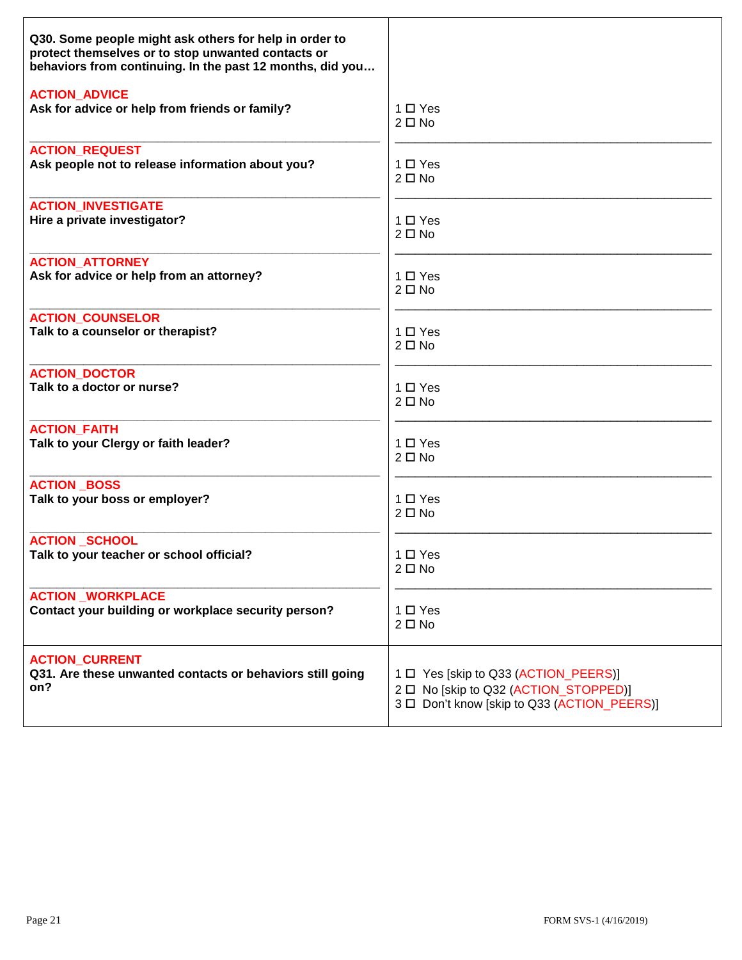| Q30. Some people might ask others for help in order to<br>protect themselves or to stop unwanted contacts or<br>behaviors from continuing. In the past 12 months, did you |                                             |
|---------------------------------------------------------------------------------------------------------------------------------------------------------------------------|---------------------------------------------|
| <b>ACTION_ADVICE</b>                                                                                                                                                      | $1 \Box Y$ es                               |
| Ask for advice or help from friends or family?                                                                                                                            | $2 \Box$ No                                 |
| <b>ACTION REQUEST</b>                                                                                                                                                     | $1 \Box Y$ es                               |
| Ask people not to release information about you?                                                                                                                          | $2 \Box$ No                                 |
| <b>ACTION_INVESTIGATE</b>                                                                                                                                                 | 1 □ Yes                                     |
| Hire a private investigator?                                                                                                                                              | $2 \Box$ No                                 |
| <b>ACTION ATTORNEY</b>                                                                                                                                                    | $1 \Box Y$ es                               |
| Ask for advice or help from an attorney?                                                                                                                                  | $2 \Box$ No                                 |
| <b>ACTION_COUNSELOR</b>                                                                                                                                                   | 1 □ Yes                                     |
| Talk to a counselor or therapist?                                                                                                                                         | $2 \Box$ No                                 |
| <b>ACTION_DOCTOR</b>                                                                                                                                                      | $1 \Box Y$ es                               |
| Talk to a doctor or nurse?                                                                                                                                                | $2 \Box$ No                                 |
| <b>ACTION FAITH</b>                                                                                                                                                       | $1 \Box Y$ es                               |
| Talk to your Clergy or faith leader?                                                                                                                                      | $2 \Box$ No                                 |
| <b>ACTION BOSS</b>                                                                                                                                                        | 1 □ Yes                                     |
| Talk to your boss or employer?                                                                                                                                            | $2 \Box$ No                                 |
| <b>ACTION SCHOOL</b>                                                                                                                                                      | 1 O Yes                                     |
| Talk to your teacher or school official?                                                                                                                                  | $2 \Box$ No                                 |
| <b>ACTION WORKPLACE</b>                                                                                                                                                   | $1 \Box Y$ es                               |
| Contact your building or workplace security person?                                                                                                                       | $2 \Box$ No                                 |
| <b>ACTION_CURRENT</b>                                                                                                                                                     | 1 D Yes [skip to Q33 (ACTION_PEERS)]        |
| Q31. Are these unwanted contacts or behaviors still going                                                                                                                 | 2 D No [skip to Q32 (ACTION STOPPED)]       |
| on?                                                                                                                                                                       | 3 □ Don't know [skip to Q33 (ACTION_PEERS)] |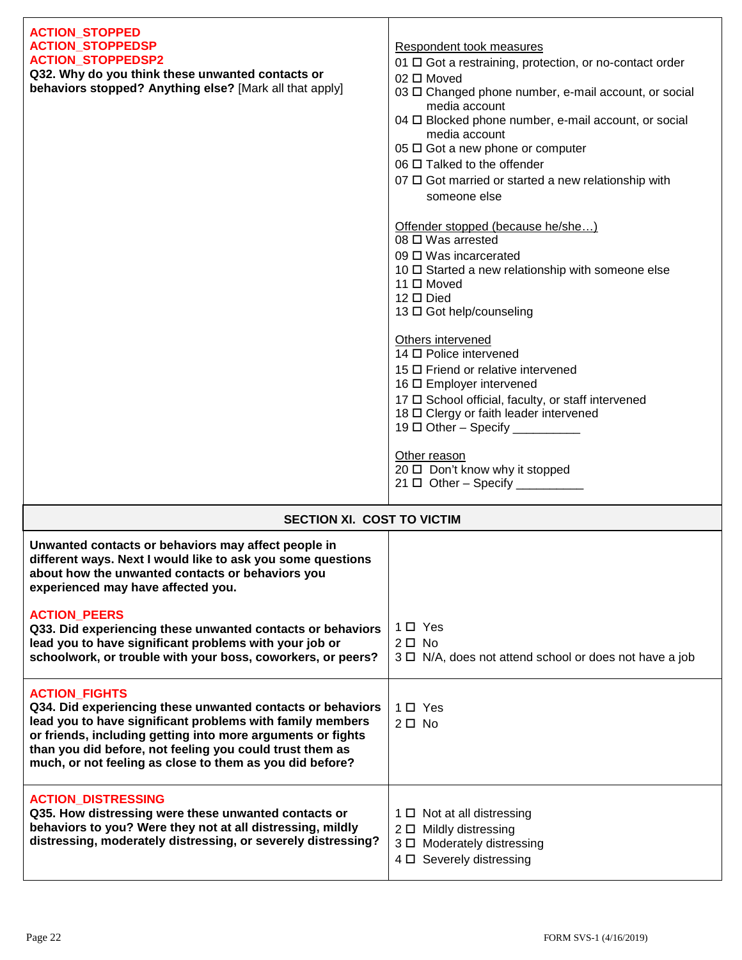| <b>ACTION_STOPPED</b><br><b>ACTION_STOPPEDSP</b><br><b>ACTION_STOPPEDSP2</b><br>Q32. Why do you think these unwanted contacts or<br>behaviors stopped? Anything else? [Mark all that apply]                                                                                                                                                                                                                                | Respondent took measures<br>01 $\Box$ Got a restraining, protection, or no-contact order<br>02 □ Moved<br>03 □ Changed phone number, e-mail account, or social<br>media account<br>04 O Blocked phone number, e-mail account, or social<br>media account<br>$05 \square$ Got a new phone or computer<br>06 □ Talked to the offender<br>$07 \square$ Got married or started a new relationship with<br>someone else<br>Offender stopped (because he/she)<br>$08 \square$ Was arrested<br>09 $\Box$ Was incarcerated<br>10 □ Started a new relationship with someone else<br>11 □ Moved<br>$12 \square$ Died<br>13 □ Got help/counseling<br>Others intervened<br>14 □ Police intervened<br>15 □ Friend or relative intervened<br>16 □ Employer intervened<br>17 O School official, faculty, or staff intervened<br>18 O Clergy or faith leader intervened<br>Other reason<br>20 □ Don't know why it stopped<br>$21 \Box$ Other - Specify __________ |
|----------------------------------------------------------------------------------------------------------------------------------------------------------------------------------------------------------------------------------------------------------------------------------------------------------------------------------------------------------------------------------------------------------------------------|---------------------------------------------------------------------------------------------------------------------------------------------------------------------------------------------------------------------------------------------------------------------------------------------------------------------------------------------------------------------------------------------------------------------------------------------------------------------------------------------------------------------------------------------------------------------------------------------------------------------------------------------------------------------------------------------------------------------------------------------------------------------------------------------------------------------------------------------------------------------------------------------------------------------------------------------------|
| <b>SECTION XI. COST TO VICTIM</b>                                                                                                                                                                                                                                                                                                                                                                                          |                                                                                                                                                                                                                                                                                                                                                                                                                                                                                                                                                                                                                                                                                                                                                                                                                                                                                                                                                   |
| Unwanted contacts or behaviors may affect people in<br>different ways. Next I would like to ask you some questions<br>about how the unwanted contacts or behaviors you<br>experienced may have affected you.<br><b>ACTION_PEERS</b><br>Q33. Did experiencing these unwanted contacts or behaviors<br>lead you to have significant problems with your job or<br>schoolwork, or trouble with your boss, coworkers, or peers? | 1□ Yes<br>$2\square$ No<br>3 $\Box$ N/A, does not attend school or does not have a job                                                                                                                                                                                                                                                                                                                                                                                                                                                                                                                                                                                                                                                                                                                                                                                                                                                            |

| woo. Did capchenomy mese anivanica contacts or benaviors<br>lead you to have significant problems with your job or<br>schoolwork, or trouble with your boss, coworkers, or peers?                                                                                                                                                      | $2 \Box$ No<br>$3 \Box$ N/A, does not attend school or does not have a job                                                    |
|----------------------------------------------------------------------------------------------------------------------------------------------------------------------------------------------------------------------------------------------------------------------------------------------------------------------------------------|-------------------------------------------------------------------------------------------------------------------------------|
| <b>ACTION FIGHTS</b><br>Q34. Did experiencing these unwanted contacts or behaviors<br>lead you to have significant problems with family members<br>or friends, including getting into more arguments or fights<br>than you did before, not feeling you could trust them as<br>much, or not feeling as close to them as you did before? | 1 □ Yes<br>$2 \Box$ No.                                                                                                       |
| <b>ACTION DISTRESSING</b><br>Q35. How distressing were these unwanted contacts or<br>behaviors to you? Were they not at all distressing, mildly<br>distressing, moderately distressing, or severely distressing?                                                                                                                       | $1 \Box$ Not at all distressing<br>$2 \Box$ Mildly distressing<br>3 D Moderately distressing<br>$4 \Box$ Severely distressing |

ı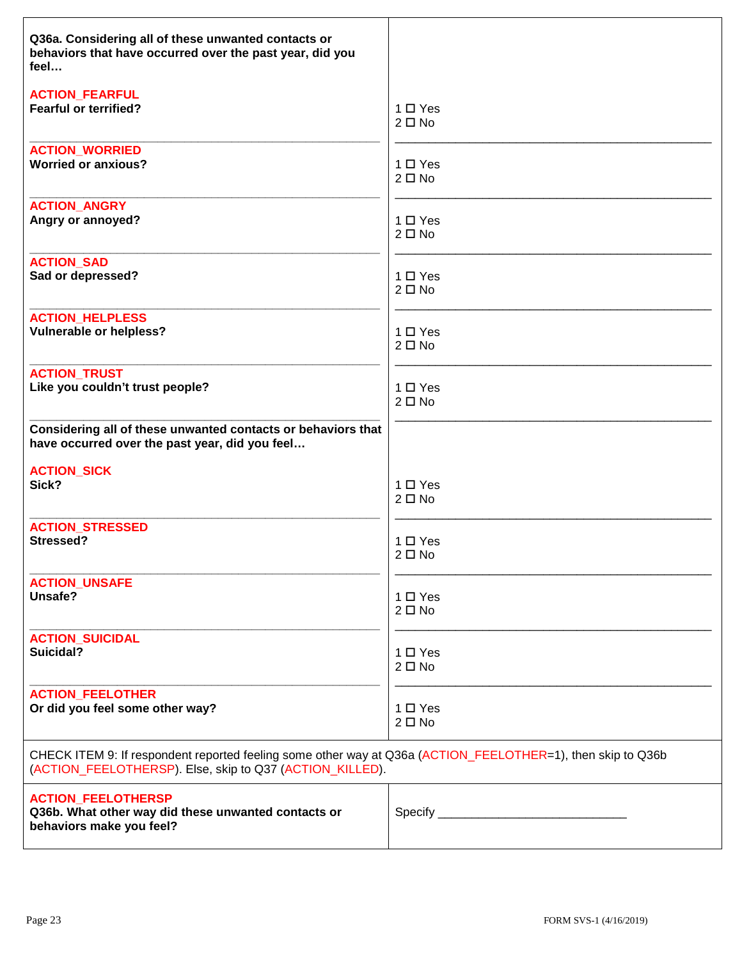| Q36a. Considering all of these unwanted contacts or<br>behaviors that have occurred over the past year, did you<br>feel                                                 |               |
|-------------------------------------------------------------------------------------------------------------------------------------------------------------------------|---------------|
| <b>ACTION_FEARFUL</b>                                                                                                                                                   | $1 \Box Y$ es |
| <b>Fearful or terrified?</b>                                                                                                                                            | $2 \Box$ No   |
| <b>ACTION WORRIED</b>                                                                                                                                                   | $1 \Box Y$ es |
| <b>Worried or anxious?</b>                                                                                                                                              | $2 \Box$ No   |
| <b>ACTION ANGRY</b>                                                                                                                                                     | $1 \Box Y$ es |
| Angry or annoyed?                                                                                                                                                       | $2 \Box$ No   |
| <b>ACTION_SAD</b>                                                                                                                                                       | $1 \Box Y$ es |
| Sad or depressed?                                                                                                                                                       | $2 \Box$ No   |
| <b>ACTION_HELPLESS</b>                                                                                                                                                  | $1 \Box Y$ es |
| <b>Vulnerable or helpless?</b>                                                                                                                                          | $2 \Box$ No   |
| <b>ACTION_TRUST</b>                                                                                                                                                     | $1 \Box Y$ es |
| Like you couldn't trust people?                                                                                                                                         | $2 \Box$ No   |
| Considering all of these unwanted contacts or behaviors that<br>have occurred over the past year, did you feel                                                          |               |
| <b>ACTION_SICK</b>                                                                                                                                                      | $1 \Box Y$ es |
| Sick?                                                                                                                                                                   | $2 \Box$ No   |
| <b>ACTION STRESSED</b>                                                                                                                                                  | 1 □ Yes       |
| Stressed?                                                                                                                                                               | $2 \Box$ No   |
| <b>ACTION_UNSAFE</b>                                                                                                                                                    | $1 \Box Y$ es |
| Unsafe?                                                                                                                                                                 | $2 \Box$ No   |
| <b>ACTION_SUICIDAL</b>                                                                                                                                                  | $1 \Box Y$ es |
| Suicidal?                                                                                                                                                               | $2 \Box$ No   |
| <b>ACTION_FEELOTHER</b>                                                                                                                                                 | 1 □ Yes       |
| Or did you feel some other way?                                                                                                                                         | $2 \Box$ No   |
| CHECK ITEM 9: If respondent reported feeling some other way at Q36a (ACTION_FEELOTHER=1), then skip to Q36b<br>(ACTION_FEELOTHERSP). Else, skip to Q37 (ACTION_KILLED). |               |
| <b>ACTION_FEELOTHERSP</b><br>Q36b. What other way did these unwanted contacts or<br>behaviors make you feel?                                                            |               |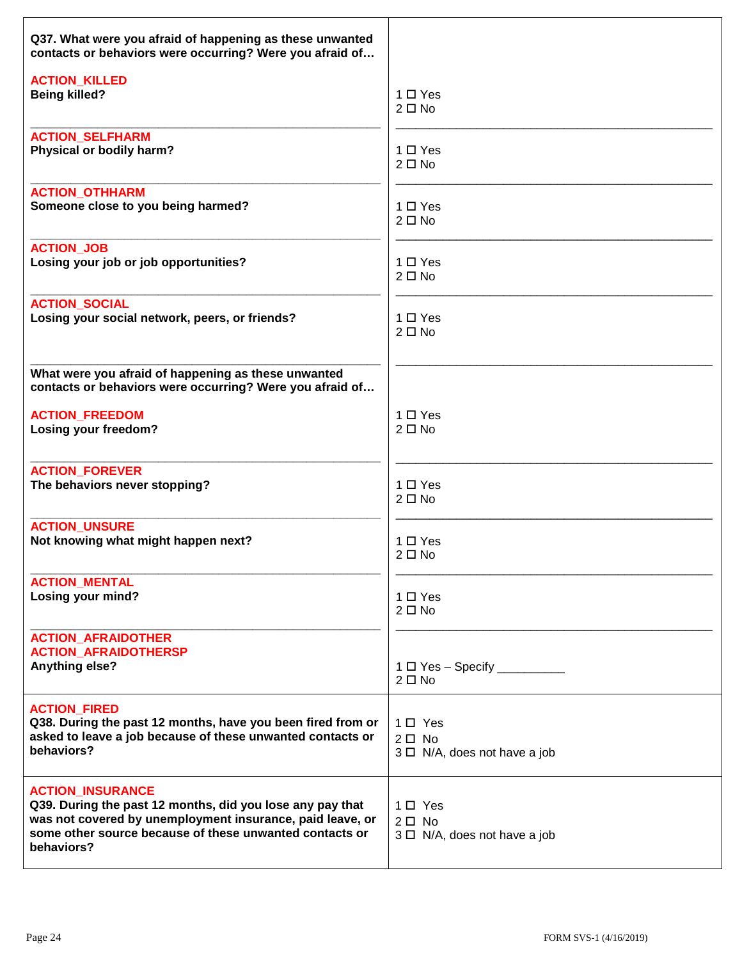| Q37. What were you afraid of happening as these unwanted<br>contacts or behaviors were occurring? Were you afraid of                                                                                                       |                                                              |
|----------------------------------------------------------------------------------------------------------------------------------------------------------------------------------------------------------------------------|--------------------------------------------------------------|
| <b>ACTION KILLED</b>                                                                                                                                                                                                       | $1 \Box Y$ es                                                |
| <b>Being killed?</b>                                                                                                                                                                                                       | $2 \Box$ No                                                  |
| <b>ACTION SELFHARM</b>                                                                                                                                                                                                     | $1 \Box Y$ es                                                |
| Physical or bodily harm?                                                                                                                                                                                                   | $2 \Box$ No                                                  |
| <b>ACTION_OTHHARM</b>                                                                                                                                                                                                      | $1 \Box Y$ es                                                |
| Someone close to you being harmed?                                                                                                                                                                                         | $2 \Box$ No                                                  |
| <b>ACTION_JOB</b>                                                                                                                                                                                                          | $1 \Box Y$ es                                                |
| Losing your job or job opportunities?                                                                                                                                                                                      | $2 \Box$ No                                                  |
| <b>ACTION SOCIAL</b>                                                                                                                                                                                                       | $1 \Box Y$ es                                                |
| Losing your social network, peers, or friends?                                                                                                                                                                             | $2 \Box$ No                                                  |
| What were you afraid of happening as these unwanted<br>contacts or behaviors were occurring? Were you afraid of                                                                                                            |                                                              |
| <b>ACTION_FREEDOM</b>                                                                                                                                                                                                      | $1 \Box Y$ es                                                |
| Losing your freedom?                                                                                                                                                                                                       | $2 \Box$ No                                                  |
| <b>ACTION_FOREVER</b>                                                                                                                                                                                                      | 1 D Yes                                                      |
| The behaviors never stopping?                                                                                                                                                                                              | $2 \Box$ No                                                  |
| <b>ACTION_UNSURE</b>                                                                                                                                                                                                       | $1 \Box Y$ es                                                |
| Not knowing what might happen next?                                                                                                                                                                                        | $2 \Box$ No                                                  |
| <b>ACTION_MENTAL</b>                                                                                                                                                                                                       | 1 □ Yes                                                      |
| Losing your mind?                                                                                                                                                                                                          | $2 \Box$ No                                                  |
| <b>ACTION_AFRAIDOTHER</b><br><b>ACTION AFRAIDOTHERSP</b><br>Anything else?                                                                                                                                                 | $1 \Box Y$ es - Specify ___________<br>$2 \Box$ No           |
| <b>ACTION_FIRED</b><br>Q38. During the past 12 months, have you been fired from or<br>asked to leave a job because of these unwanted contacts or<br>behaviors?                                                             | 1□ Yes<br>$2\square$ No<br>$3 \Box$ N/A, does not have a job |
| <b>ACTION INSURANCE</b><br>Q39. During the past 12 months, did you lose any pay that<br>was not covered by unemployment insurance, paid leave, or<br>some other source because of these unwanted contacts or<br>behaviors? | 1□ Yes<br>$2 \Box$ No<br>$3 \Box$ N/A, does not have a job   |